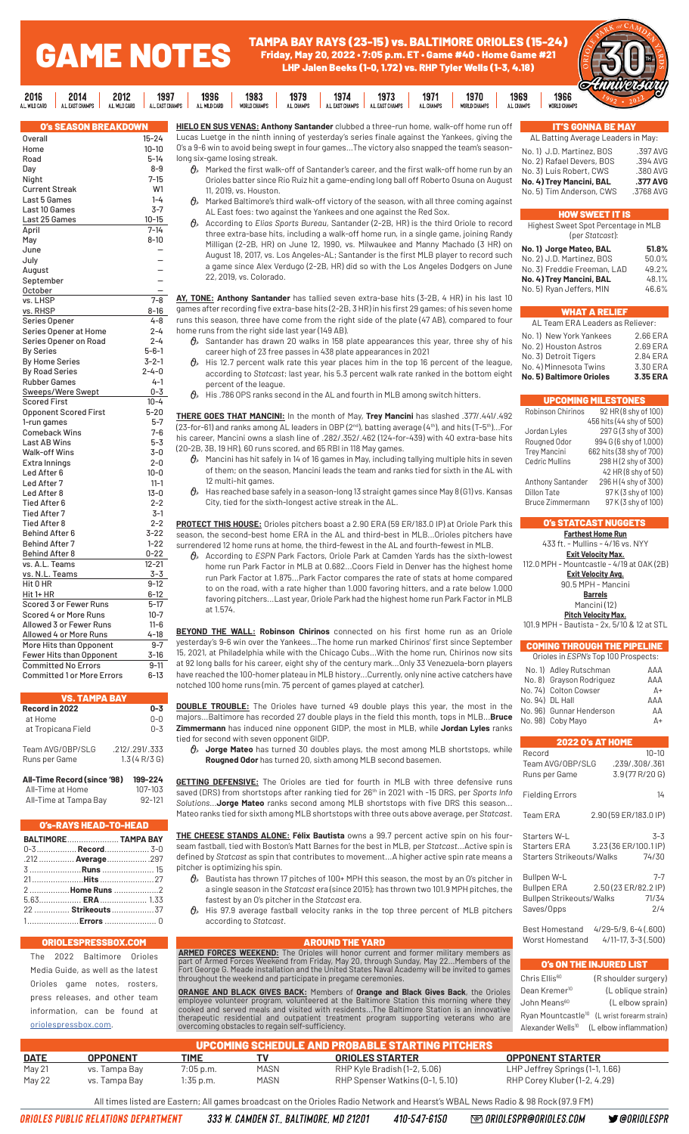# GAME NOTES

2016 **CARD**  TAMPA BAY RAYS (23-15) vs. BALTIMORE ORIOLES (15-24) Friday, May 20, 2022 • 7:05 p.m. ET • Game #40 • Home Game #21 LHP Jalen Beeks (1-0, 1.72) vs. RHP Tyler Wells (1-3, 4.18)



| 6.          | 2014                        | 2012           | 1997            | 1996           | 1983         | 1979             | 1974            | 1973            | 1971        | 1970                                                                                  | 1969        | 1966         | <del>oxi</del> mnwe |
|-------------|-----------------------------|----------------|-----------------|----------------|--------------|------------------|-----------------|-----------------|-------------|---------------------------------------------------------------------------------------|-------------|--------------|---------------------|
| <b>CARD</b> | A I FAST CHAMPS             | A L. WILD CARD | A I FAST CHAMPS | A L. WILD CARD | WORLD CHAMPS | <b>11 CHAMPS</b> | A I FAST CHAMPS | A I FAST CHAMPS | A L. CHAMPS | WORLD CHAMPS                                                                          | A.L. CHAMPS | WORLD CHAMPS |                     |
|             | <b>O's SEASON BREAKDOWN</b> |                |                 |                |              |                  |                 |                 |             | HIELO EN SUS VENAS: Anthony Santander clubbed a three-run home, walk-off home run off |             |              | 'S GONNA BE MA'     |

| Overall                           | $15 - 24$   |
|-----------------------------------|-------------|
| Home                              | $10 - 10$   |
| Road                              | 5-14        |
| Day                               | 8-9         |
| Night                             | $7 - 15$    |
| <b>Current Streak</b>             | W1          |
| Last 5 Games                      | $1 - 4$     |
| Last 10 Games                     | $3-7$       |
| Last 25 Games                     | $10 - 15$   |
| April                             | $7 - 14$    |
| May                               | $8 - 10$    |
| June                              |             |
| July                              |             |
| August                            |             |
| September                         |             |
| October                           |             |
| vs. LHSP                          | $7 - 8$     |
| vs. RHSP                          | $8 - 16$    |
| Series Opener                     | $4 - 8$     |
|                                   | $2 - 4$     |
| Series Opener at Home             |             |
| Series Opener on Road             | 2-4         |
| <b>By Series</b>                  | $5 - 6 - 1$ |
| <b>By Home Series</b>             | $3 - 2 - 1$ |
| <b>By Road Series</b>             | $2 - 4 - 0$ |
| <b>Rubber Games</b>               | $4 - 1$     |
| Sweeps/Were Swept                 | $0 - 3$     |
| <b>Scored First</b>               | $10 - 4$    |
| <b>Opponent Scored First</b>      | $5 - 20$    |
| 1-run games                       | $5-7$       |
| <b>Comeback Wins</b>              | $7 - 6$     |
| Last AB Wins                      | $5 - 3$     |
| <b>Walk-off Wins</b>              | $3 - 0$     |
| Extra Innings                     | $2 - 0$     |
| Led After 6                       | 10-0        |
| Led After 7                       | $11 - 1$    |
| Led After 8                       | $13 - 0$    |
| Tied After 6                      | $2 - 2$     |
| <b>Tied After 7</b>               | $3-1$       |
| <b>Tied After 8</b>               | $2 - 2$     |
| <b>Behind After 6</b>             | $3 - 22$    |
| <b>Behind After 7</b>             | $1 - 22$    |
| <b>Behind After 8</b>             | $0 - 22$    |
| vs. A.L. Teams                    | $12 - 21$   |
| vs. N.L. Teams                    | $3 - 3$     |
| Hit 0 HR                          | $9 - 12$    |
| Hit 1+ HR                         | $6 - 12$    |
| Scored 3 or Fewer Runs            | 5-17        |
| Scored 4 or More Runs             | $10 - 7$    |
| Allowed 3 or Fewer Runs           | $11 - 6$    |
| Allowed 4 or More Runs            | $4 - 18$    |
| More Hits than Opponent           | $9 - 7$     |
| Fewer Hits than Opponent          | 3-16        |
| <b>Committed No Errors</b>        | $9 - 11$    |
| <b>Committed 1 or More Errors</b> | $6 - 13$    |
|                                   |             |

| <b>VS. TAMPA BAY</b>              |                              |  |  |  |  |  |  |  |  |  |
|-----------------------------------|------------------------------|--|--|--|--|--|--|--|--|--|
| Record in 2022<br>at Home         | $0 - 3$<br>በ-በ               |  |  |  |  |  |  |  |  |  |
| at Tropicana Field                | $0 - 3$                      |  |  |  |  |  |  |  |  |  |
| Team AVG/OBP/SLG<br>Runs per Game | .212/.291/.333<br>1.3(4R/3G) |  |  |  |  |  |  |  |  |  |
| All-Time Record (since '98)       | 199-224                      |  |  |  |  |  |  |  |  |  |

All-Time at Home 107-103 All-Time at Tampa Bay 92-121

### O's-RAYS HEAD-TO-HEAD **BALTIMORE**...................... **TAMPA BAY** 0-3.................**Record**................... 3-0 .212 ............... **Average**..................297

| .212 <b>Average</b> 297     |  |
|-----------------------------|--|
| 3 <b>Runs</b> 15            |  |
|                             |  |
| 2 Home Runs 2               |  |
| $5.63$ $ERA$ $\dots$ $1.33$ |  |
| 22  Strikeouts  37          |  |
|                             |  |

### NRIOLES

The 2022 Baltimore Orioles Media Guide, as well as the latest Orioles game notes, rosters, press releases, and other team information, can be found at oriolespressbox.com.

**HIELO EN SUS VENAS: Anthony Santander** clubbed a three-run home, walk-off home run off Lucas Luetge in the ninth inning of yesterday's series finale against the Yankees, giving the O's a 9-6 win to avoid being swept in four games...The victory also snapped the team's seasonlong six-game losing streak.

- $\theta$  Marked the first walk-off of Santander's career, and the first walk-off home run by an Orioles batter since Rio Ruiz hit a game-ending long ball off Roberto Osuna on August 11, 2019, vs. Houston.
- $\theta$  Marked Baltimore's third walk-off victory of the season, with all three coming against AL East foes: two against the Yankees and one against the Red Sox.
- According to *Elias Sports Bureau*, Santander (2-2B, HR) is the third Oriole to record three extra-base hits, including a walk-off home run, in a single game, joining Randy Milligan (2-2B, HR) on June 12, 1990, vs. Milwaukee and Manny Machado (3 HR) on August 18, 2017, vs. Los Angeles-AL; Santander is the first MLB player to record such a game since Alex Verdugo (2-2B, HR) did so with the Los Angeles Dodgers on June 22, 2019, vs. Colorado.

**AY, TONE: Anthony Santander** has tallied seven extra-base hits (3-2B, 4 HR) in his last 10 games after recording five extra-base hits (2-2B, 3 HR) in his first 29 games; of his seven home runs this season, three have come from the right side of the plate (47 AB), compared to four home runs from the right side last year (149 AB).

- $\theta_{s}$  Santander has drawn 20 walks in 158 plate appearances this year, three shy of his career high of 23 free passes in 438 plate appearances in 2021
- $\mathcal{O}_{\mathcal{P}}$  His 12.7 percent walk rate this year places him in the top 16 percent of the league, according to *Statcast*; last year, his 5.3 percent walk rate ranked in the bottom eight percent of the league.
- $\theta$  His .786 OPS ranks second in the AL and fourth in MLB among switch hitters.

**THERE GOES THAT MANCINI:** In the month of May, **Trey Mancini** has slashed .377/.441/.492 (23-for-61) and ranks among AL leaders in OBP (2nd), batting average (4th), and hits (T-5th)...For his career, Mancini owns a slash line of .282/.352/.462 (124-for-439) with 40 extra-base hits (20-2B, 3B, 19 HR), 60 runs scored, and 65 RBI in 118 May games.

- $\alpha$  Mancini has hit safely in 14 of 16 games in May, including tallying multiple hits in seven of them; on the season, Mancini leads the team and ranks tied for sixth in the AL with 12 multi-hit games.
- $\theta$  Has reached base safely in a season-long 13 straight games since May 8 (G1) vs. Kansas City, tied for the sixth-longest active streak in the AL.

**PROTECT THIS HOUSE:** Orioles pitchers boast a 2.90 ERA (59 ER/183.0 IP) at Oriole Park this season, the second-best home ERA in the AL and third-best in MLB...Orioles pitchers have surrendered 12 home runs at home, the third-fewest in the AL and fourth-fewest in MLB.

 According to *ESPN* Park Factors, Oriole Park at Camden Yards has the sixth-lowest home run Park Factor in MLB at 0.682...Coors Field in Denver has the highest home run Park Factor at 1.875...Park Factor compares the rate of stats at home compared to on the road, with a rate higher than 1.000 favoring hitters, and a rate below 1.000 favoring pitchers...Last year, Oriole Park had the highest home run Park Factor in MLB at 1.574.

**BEYOND THE WALL: Robinson Chirinos** connected on his first home run as an Oriole yesterday's 9-6 win over the Yankees...The home run marked Chirinos' first since September 15, 2021, at Philadelphia while with the Chicago Cubs...With the home run, Chirinos now sits at 92 long balls for his career, eight shy of the century mark...Only 33 Venezuela-born players have reached the 100-homer plateau in MLB history...Currently, only nine active catchers have notched 100 home runs (min. 75 percent of games played at catcher).

**DOUBLE TROUBLE:** The Orioles have turned 49 double plays this year, the most in the majors...Baltimore has recorded 27 double plays in the field this month, tops in MLB...**Bruce Zimmermann** has induced nine opponent GIDP, the most in MLB, while **Jordan Lyles** ranks tied for second with seven opponent GIDP.

 **Jorge Mateo** has turned 30 doubles plays, the most among MLB shortstops, while **Rougned Odor** has turned 20, sixth among MLB second basemen.

**GETTING DEFENSIVE:** The Orioles are tied for fourth in MLB with three defensive runs saved (DRS) from shortstops after ranking tied for 26<sup>th</sup> in 2021 with -15 DRS, per *Sports Info Solutions*...**Jorge Mateo** ranks second among MLB shortstops with five DRS this season... Mateo ranks tied for sixth among MLB shortstops with three outs above average, per *Statcast*.

**THE CHEESE STANDS ALONE: Félix Bautista** owns a 99.7 percent active spin on his fourseam fastball, tied with Boston's Matt Barnes for the best in MLB, per *Statcast*...Active spin is defined by *Statcast* as spin that contributes to movement...A higher active spin rate means a pitcher is optimizing his spin.

- $\theta_{\rm k}$  Bautista has thrown 17 pitches of 100+ MPH this season, the most by an O's pitcher in a single season in the *Statcast* era (since 2015); has thrown two 101.9 MPH pitches, the fastest by an O's pitcher in the *Statcast* era.
- $\mathcal{O}_{\!s}\;$  His 97.9 average fastball velocity ranks in the top three percent of MLB pitchers according to *Statcast*.

**AROUND THE YARD**<br>part of Armed Forces WeEKEND: The Orioles will honor current and former military members as<br>Fort George G. Meade installation and the United States Naval Academy will be invited to games<br>throughout the we

**ORANGE AND BLACK GIVES BACK:** Members of **Orange and Black Gives Back**, the Orioles employee volunteer program, volunteered at the Baltimore Station this morning where they cooked and served meals and visited with residen

| <b>IT'S GONNA BE MAY</b>           |           |
|------------------------------------|-----------|
| AL Batting Average Leaders in May: |           |
| No. 1) J.D. Martinez, BOS          | .397 AVG  |
| No. 2) Rafael Devers, BOS          | .394 AVG  |
| No. 3) Luis Robert, CWS            | .380 AVG  |
| No. 4) Trey Mancini, BAL           | .377 AVG  |
| No. 5) Tim Anderson, CWS           | .3768 AVG |

### HOW SWEET IT IS Highest Sweet Spot Percentage in MLB

| (per Statcast):             |       |
|-----------------------------|-------|
| No. 1) Jorge Mateo, BAL     | 51.8% |
| No. 2) J.D. Martinez, BOS   | 50.0% |
| No. 3) Freddie Freeman, LAD | 49.2% |
| No. 4) Trey Mancini, BAL    | 48.1% |
| No. 5) Ryan Jeffers, MIN    | 46.6% |

### WHAT A RELIEF

| No. 4) Minnesota Twins<br>3.30 ERA<br>3.35 ERA | No. 2) Houston Astros<br>No. 3) Detroit Tigers | 2.69 ERA<br>2.84 ERA |  |
|------------------------------------------------|------------------------------------------------|----------------------|--|
|                                                |                                                |                      |  |
|                                                | <b>No. 5) Baltimore Orioles</b>                |                      |  |

|                       | <b>UPCOMING MILESTONES</b> |  |  |  |  |  |  |
|-----------------------|----------------------------|--|--|--|--|--|--|
| Robinson Chirinos     | 92 HR (8 shy of 100)       |  |  |  |  |  |  |
|                       | 456 hits (44 shy of 500)   |  |  |  |  |  |  |
| Jordan Lyles          | 297 G (3 shy of 300)       |  |  |  |  |  |  |
| Rougned Odor          | 994 G (6 shy of 1,000)     |  |  |  |  |  |  |
| <b>Trey Mancini</b>   | 662 hits (38 shy of 700)   |  |  |  |  |  |  |
| <b>Cedric Mullins</b> | 298 H (2 shy of 300)       |  |  |  |  |  |  |
|                       | 42 HR (8 shy of 50)        |  |  |  |  |  |  |
| Anthony Santander     | 296 H (4 shy of 300)       |  |  |  |  |  |  |
| Dillon Tate           | 97 K (3 shy of 100)        |  |  |  |  |  |  |
| Bruce Zimmermann      | 97 K (3 shy of 100)        |  |  |  |  |  |  |

### ITCAST NUGGETS

**Farthest Home Run**<br>433 ft. - Mullins - 4/16 vs - Mullins - 4/16 vs. NYY

**Exit Velocity Max.** 112.0 MPH - Mountcastle - 4/19 at OAK (2B)

```
Exit Velocity Avg.
90.5 MPH - Mancini
```
**Barrels**

Mancini (12)

### **Pitch Velocity Max.** 101.9 MPH - Bautista - 2x, 5/10 & 12 at STL

### COMING THROUGH THE PIPELINE

| Orioles in ESPN's Top 100 Prospects:                                                                                                                                                                                    |
|-------------------------------------------------------------------------------------------------------------------------------------------------------------------------------------------------------------------------|
| No. 1)<br>Adley Rutschman<br>AAA<br>No. 8)<br>Grayson Rodriguez<br>AAA<br><b>Colton Cowser</b><br>No. 74)<br>$A+$<br>No. 94) DL Hall<br>AAA<br>No. 96) Gunnar Henderson<br>AΑ<br>No. 98)<br>$\mathsf{A}^+$<br>Coby Mayo |
| <b>2022 0's AT HOME</b>                                                                                                                                                                                                 |
| Record<br>$10 - 10$<br>Team AVG/OBP/SLG<br>.239/.308/.361<br>3.9 (77 R/20 G)<br>Runs per Game                                                                                                                           |
| <b>Fielding Errors</b><br>14                                                                                                                                                                                            |
| 2.90 (59 ER/183.0 IP)<br>Team ERA                                                                                                                                                                                       |
| Starters W-L<br>$3 - 3$<br>3.23 (36 ER/100.1 IP)<br>Starters ERA<br>Starters Strikeouts/Walks<br>74/30                                                                                                                  |
| Bullpen W-L<br>$7 - 7$<br>2.50 (23 ER/82.2 IP)<br><b>Bullpen ERA</b><br><b>Bullpen Strikeouts/Walks</b><br>71/34<br>Saves/Opps<br>2/4                                                                                   |
| Best Homestand 4/29-5/9, 6-4 (.600)<br>$4/11 - 17, 3 - 3(.500)$<br>Worst Homestand                                                                                                                                      |
| O's ON THE INJURED LIST                                                                                                                                                                                                 |
| Chrie Fllie <sup>60</sup><br>(R shoulder surgery)                                                                                                                                                                       |

| Chris Ellis <sup>60</sup>     | (R shoulder surgery)                                    |
|-------------------------------|---------------------------------------------------------|
| Dean Kremer <sup>10</sup>     | (L oblique strain)                                      |
| John Means <sup>60</sup>      | (L elbow sprain)                                        |
|                               | Ryan Mountcastle <sup>10</sup> (L wrist forearm strain) |
| Alexander Wells <sup>10</sup> | (L elbow inflammation)                                  |

| <b>UPCOMING SCHEDULE AND PROBABLE STARTING PITCHERS</b> |                 |             |      |                                 |                                 |  |  |  |  |  |  |
|---------------------------------------------------------|-----------------|-------------|------|---------------------------------|---------------------------------|--|--|--|--|--|--|
| <b>DATE</b>                                             | <b>OPPONENT</b> | <b>TIME</b> |      | <b>ORIOLES STARTER</b>          | <b>OPPONENT STARTER</b>         |  |  |  |  |  |  |
| May 21                                                  | vs. Tampa Bay   | $7:05$ p.m. | MASN | RHP Kyle Bradish (1-2, 5.06)    | LHP Jeffrey Springs (1-1, 1.66) |  |  |  |  |  |  |
| May 22                                                  | vs. Tampa Bay   | 1:35 p.m.   | MASN | RHP Spenser Watkins (0-1, 5.10) | RHP Corey Kluber (1-2, 4.29)    |  |  |  |  |  |  |
|                                                         |                 |             |      |                                 |                                 |  |  |  |  |  |  |

All times listed are Eastern; All games broadcast on the Orioles Radio Network and Hearst's WBAL News Radio & 98 Rock (97.9 FM)

ORIOLES PUBLIC RELATIONS DEPARTMENT

333 W. CAMDEN ST., BALTIMORE, MD 21201 410-547-6150 **@ ORIOLESPR@ORIOLES.COM** 

**S** @ORIOLESPR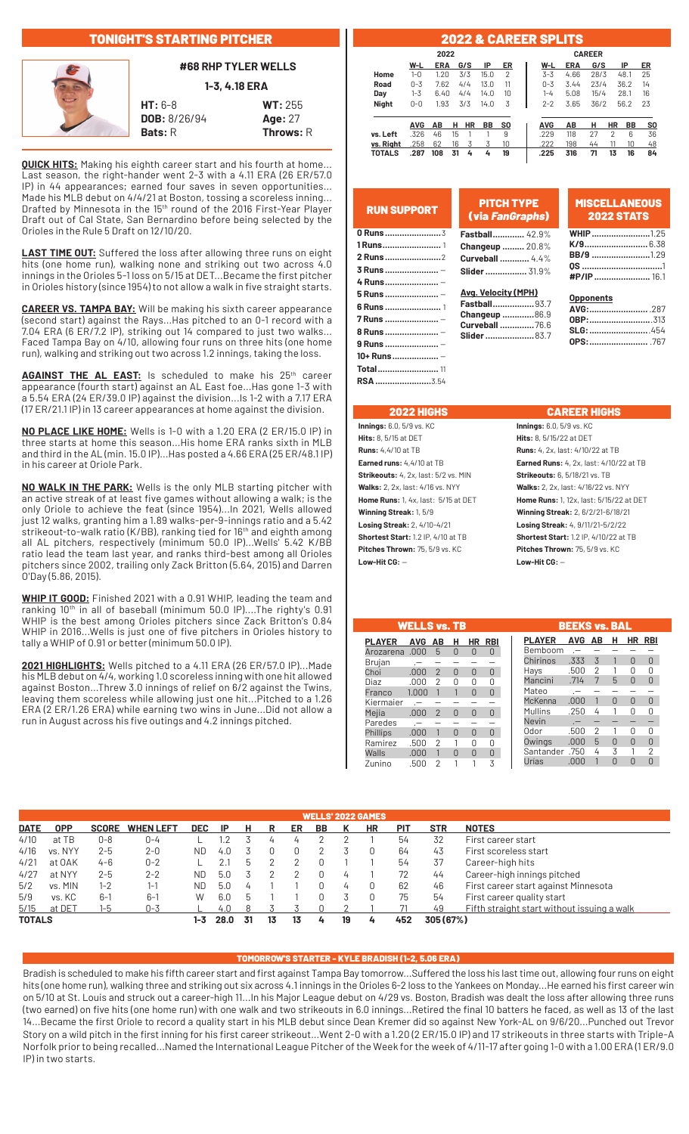# TONIGHT'S STARTING PITCHER



**#68 RHP TYLER WELLS**

**1-3, 4.18 ERA**

**HT:** 6-8 **WT:** 255 **DOB:** 8/26/94 **Age:** 27 **Bats: R** Throws: R

**QUICK HITS:** Making his eighth career start and his fourth at home. Last season, the right-hander went 2-3 with a 4.11 ERA (26 ER/57.0 IP) in 44 appearances; earned four saves in seven opportunities... Made his MLB debut on 4/4/21 at Boston, tossing a scoreless inning... Drafted by Minnesota in the 15<sup>th</sup> round of the 2016 First-Year Player Draft out of Cal State, San Bernardino before being selected by the Orioles in the Rule 5 Draft on 12/10/20.

**LAST TIME OUT:** Suffered the loss after allowing three runs on eight hits (one home run), walking none and striking out two across 4.0 innings in the Orioles 5-1 loss on 5/15 at DET...Became the first pitcher in Orioles history (since 1954) to not allow a walk in five straight starts.

**CAREER VS. TAMPA BAY:** Will be making his sixth career appearance (second start) against the Rays...Has pitched to an 0-1 record with a 7.04 ERA (6 ER/7.2 IP), striking out 14 compared to just two walks... Faced Tampa Bay on 4/10, allowing four runs on three hits (one home run), walking and striking out two across 1.2 innings, taking the loss.

AGAINST THE AL EAST: Is scheduled to make his 25<sup>th</sup> career appearance (fourth start) against an AL East foe...Has gone 1-3 with a 5.54 ERA (24 ER/39.0 IP) against the division...Is 1-2 with a 7.17 ERA (17 ER/21.1 IP) in 13 career appearances at home against the division.

**NO PLACE LIKE HOME:** Wells is 1-0 with a 1.20 ERA (2 ER/15.0 IP) in three starts at home this season...His home ERA ranks sixth in MLB and third in the AL (min. 15.0 IP)...Has posted a 4.66 ERA (25 ER/48.1 IP) in his career at Oriole Park.

**NO WALK IN THE PARK:** Wells is the only MLB starting pitcher with an active streak of at least five games without allowing a walk; is the only Oriole to achieve the feat (since 1954)...In 2021, Wells allowed just 12 walks, granting him a 1.89 walks-per-9-innings ratio and a 5.42 strikeout-to-walk ratio (K/BB), ranking tied for 16<sup>th</sup> and eighth among all AL pitchers, respectively (minimum 50.0 IP)...Wells' 5.42 K/BB ratio lead the team last year, and ranks third-best among all Orioles pitchers since 2002, trailing only Zack Britton (5.64, 2015) and Darren O'Day (5.86, 2015).

**WHIP IT GOOD:** Finished 2021 with a 0.91 WHIP, leading the team and ranking 10<sup>th</sup> in all of baseball (minimum 50.0 IP)....The righty's 0.91 WHIP is the best among Orioles pitchers since Zack Britton's 0.84 WHIP in 2016...Wells is just one of five pitchers in Orioles history to tally a WHIP of 0.91 or better (minimum 50.0 IP).

**2021 HIGHLIGHTS:** Wells pitched to a 4.11 ERA (26 ER/57.0 IP)...Made his MLB debut on 4/4, working 1.0 scoreless inning with one hit allowed against Boston...Threw 3.0 innings of relief on 6/2 against the Twins, leaving them scoreless while allowing just one hit...Pitched to a 1.26 ERA (2 ER/1.26 ERA) while earning two wins in June...Did not allow a run in August across his five outings and 4.2 innings pitched.

### 2022 & CAREER SPLITS

| 2022          |            |            |    |           |      |     |  |  | <b>CAREER</b> |            |      |           |           |                |  |  |
|---------------|------------|------------|----|-----------|------|-----|--|--|---------------|------------|------|-----------|-----------|----------------|--|--|
|               | W-L        | <b>ERA</b> |    | G/S       | IP   | ER  |  |  | W-L           | <b>ERA</b> | G/S  |           | IP        | ER             |  |  |
| Home          | $1 - 0$    | 1.20       |    | 3/3       | 15.0 | 2   |  |  | $3 - 3$       | 4.66       | 28/3 |           | 48.1      | 25             |  |  |
| Road          | $0 - 3$    | 7.62       |    | 4/4       | 13.0 | 11  |  |  | $0 - 3$       | 3.44       | 23/4 |           | 36.2      | 14             |  |  |
| Day           | $1 - 3$    | 6.40       |    | 4/4       | 14.0 | 10  |  |  | 1-4           | 5.08       | 15/4 |           | 28.1      | 16             |  |  |
| <b>Night</b>  | $0 - 0$    | 1.93       |    | 3/3       | 14.0 | 3   |  |  | $2 - 2$       | 3.65       | 36/2 |           | 56.2      | 23             |  |  |
|               | <b>AVG</b> | AB         | н  | <b>HR</b> | ВB   | SO. |  |  | <b>AVG</b>    | AB         | н    | <b>HR</b> | <b>BB</b> | S <sub>0</sub> |  |  |
| vs. Left      | .326       | 46         | 15 |           |      | 9   |  |  | .229          | 118        | 27   | 2         | 6         | 36             |  |  |
| vs. Right     | .258       | 62         | 16 | 3         | 3    | 10  |  |  | .222          | 198        | 44   | 11        | 10        | 48             |  |  |
| <b>TOTALS</b> | .287       | 108        | 31 | 4         | 4    | 19  |  |  | .225          | 316        | 71   | 13        | 16        | 84             |  |  |

| <b>RUN SUPPORT</b> | <b>PITCH TYPE</b><br>(via FanGraphs)    | <b>MISCELLANEOUS</b><br><b>2022 STATS</b> |
|--------------------|-----------------------------------------|-------------------------------------------|
| 0 Runs  3          | <b>Fastball</b> 42.9%                   | <b>WHIP</b> 1.25                          |
|                    | Changeup  20.8%                         |                                           |
|                    | <b>Curveball  4.4%</b>                  | <b>BB/9</b> 1.29                          |
| 3 Runs  -          | Slider  31.9%                           | <b>#P/IP</b> 16.1                         |
| 4 Runs  -          |                                         |                                           |
|                    | <b>Avg. Velocity (MPH)</b>              | <b>Opponents</b>                          |
|                    | <b>Fastball</b> 93.7                    |                                           |
| 7 Runs  -          | Changeup 86.9<br><b>Curveball  76.6</b> |                                           |
| 8 Runs  -          | <b>Slider </b> 83.7                     |                                           |
| 9 Runs  -          |                                         |                                           |
| 10+ Runs  -        |                                         |                                           |
| <b>Total</b> 11    |                                         |                                           |

 **RSA.......................**3.54

| <b>2022 HIGHS</b>                           | <b>CAREER HIGHS</b>                            |
|---------------------------------------------|------------------------------------------------|
| <b>Innings:</b> 6.0, 5/9 vs. KC             | $Innings: 6.0, 5/9$ vs. $KC$                   |
| <b>Hits:</b> 8, 5/15 at DET                 | <b>Hits:</b> $8.5/15/22$ at DET                |
| <b>Runs:</b> 4,4/10 at TB                   | <b>Runs:</b> 4, 2x, last: 4/10/22 at TB        |
| <b>Earned runs:</b> 4,4/10 at TB            | <b>Earned Runs:</b> 4, 2x, last: 4/10/22 at TB |
| <b>Strikeouts:</b> 4, 2x, last: 5/2 vs. MIN | <b>Strikeouts:</b> 6, 5/18/21 vs. TB           |
| <b>Walks:</b> 2, 2x, last: 4/16 vs. NYY     | <b>Walks:</b> 2, 2x, last: 4/16/22 vs. NYY     |
| <b>Home Runs:</b> 1, 4x, last: 5/15 at DET  | <b>Home Runs:</b> 1, 12x, last: 5/15/22 at DET |
| Winning Streak: 1, 5/9                      | Winning Streak: 2, 6/2/21-6/18/21              |
| <b>Losing Streak: 2, 4/10-4/21</b>          | Losing Streak: 4, 9/11/21-5/2/22               |
| <b>Shortest Start:</b> 1.2 IP, 4/10 at TB   | <b>Shortest Start:</b> 1.2 IP, 4/10/22 at TB   |
| Pitches Thrown: 75, 5/9 vs. KC              | <b>Pitches Thrown: 75, 5/9 vs. KC</b>          |
| Low-Hit CG: —                               | $Low-Hit CG: -$                                |
|                                             |                                                |
|                                             |                                                |

|               | <b>WELLS vs. TB</b> |                |          |          |            |               | <b>BEEKS vs. BAL</b> |    |          |              |              |
|---------------|---------------------|----------------|----------|----------|------------|---------------|----------------------|----|----------|--------------|--------------|
| <b>PLAYER</b> | <b>AVG</b>          | AB             | н        | HR       | <b>RBI</b> | <b>PLAYER</b> | <b>AVG</b>           | AB | н        |              | HR RBI       |
| Arozarena     | .000.               | 5              | $\Omega$ | 0        | $\Omega$   | Bemboom       | $\overline{a}$       |    |          |              |              |
| Brujan        |                     |                |          |          |            | Chirinos      | .333                 | 3  | 1        | <sup>n</sup> | <sup>0</sup> |
| Choi          | .000.               | $\mathcal{P}$  | $\Omega$ | $\Omega$ | $\Omega$   | Hays          | .500                 | 2  |          | U            | U            |
| Diaz          | .000                | 2              | U        | U        | 0          | Mancini       | .714                 | 7  | 5        | U            | <sup>n</sup> |
| Franco        | 1.000               | 1              |          | $\Omega$ | $\Omega$   | Mateo         |                      |    |          |              |              |
| Kiermaier     |                     |                |          |          |            | McKenna       | .000.                |    | $\Omega$ | U            | <sup>n</sup> |
| Mejia         | .000.               | $\overline{2}$ | $\Omega$ | $\Omega$ | $\Omega$   | Mullins       | .250                 | 4  |          | Λ            | U            |
| Paredes       |                     |                |          |          |            | <b>Nevin</b>  |                      |    |          |              |              |
| Phillips      | .000                | 1              | $\Omega$ | $\Omega$ | $\Omega$   | Odor          | .500                 | 2  |          | U            | U            |
| Ramirez       | .500                | 2              |          | U        | U          | Owings        | .000.                | 5  | 0        | U            | <sup>n</sup> |
| Walls         | .000.               | 1              | $\Omega$ | $\Omega$ | $\Omega$   | Santander     | .750                 | 4  | 3        |              | 2            |
| Zunino        | .500                | 2              | 1        |          | 3          | Urías         | .000                 |    | $\Omega$ | Ŋ            | U            |
|               |                     |                |          |          |            |               |                      |    |          |              |              |

 $\begin{bmatrix} 0 \\ 0 \\ 0 \end{bmatrix}$ 

|        | <b>WELLS' 2022 GAMES</b> |              |                  |            |      |    |    |    |    |    |    |            |            |                                             |
|--------|--------------------------|--------------|------------------|------------|------|----|----|----|----|----|----|------------|------------|---------------------------------------------|
| DATE   | <b>OPP</b>               | <b>SCORE</b> | <b>WHEN LEFT</b> | <b>DEC</b> | -IP  | н  |    | ER | BB |    | ΗR | <b>PIT</b> | <b>STR</b> | <b>NOTES</b>                                |
| 4/10   | at TB                    | $0 - 8$      | 0-4              |            | .2   |    |    | 4  |    |    |    | 54         | 32         | First career start                          |
| 4/16   | vs. NYY                  | $2 - 5$      | $2 - 0$          | ND         | 4.0  |    |    | 0  |    |    |    | 64         | 43         | First scoreless start                       |
| 4/21   | at OAK                   | $4 - 6$      | $0 - 2$          |            |      |    |    |    |    |    |    | 54         | 37         | Career-high hits                            |
| 4/27   | at NYY                   | $2 - 5$      | $2 - 2$          | ND         | 5.0  |    |    |    |    | 4  |    | 72         | 44         | Career-high innings pitched                 |
| 5/2    | vs. MIN                  | $1 - 2$      | 1-1              | ND         | 5.0  |    |    |    |    | 4  |    | 62         | 46         | First career start against Minnesota        |
| 5/9    | vs. KC                   | $6-1$        | $6-1$            | W          | 6.0  | b  |    |    |    |    |    | 75         | 54         | First career quality start                  |
| 5/15   | at DET                   | $I - b$      | $0 - 3$          |            | 4.0  |    |    |    |    |    |    |            | 49         | Fifth straight start without issuing a walk |
| TOTALS |                          |              |                  | 1-3        | 28.0 | 31 | 13 | 13 | 4  | 19 | 4  | 452        | 305 (67%)  |                                             |
|        |                          |              |                  |            |      |    |    |    |    |    |    |            |            |                                             |

### TOMORROW'S STARTER - KYLE BRADISH (1-2, 5.06 ERA)

Bradish is scheduled to make his fifth career start and first against Tampa Bay tomorrow...Suffered the loss his last time out, allowing four runs on eight hits (one home run), walking three and striking out six across 4.1 innings in the Orioles 6-2 loss to the Yankees on Monday...He earned his first career win on 5/10 at St. Louis and struck out a career-high 11...In his Major League debut on 4/29 vs. Boston, Bradish was dealt the loss after allowing three runs (two earned) on five hits (one home run) with one walk and two strikeouts in 6.0 innings...Retired the final 10 batters he faced, as well as 13 of the last 14...Became the first Oriole to record a quality start in his MLB debut since Dean Kremer did so against New York-AL on 9/6/20...Punched out Trevor Story on a wild pitch in the first inning for his first career strikeout...Went 2-0 with a 1.20 (2 ER/15.0 IP) and 17 strikeouts in three starts with Triple-A Norfolk prior to being recalled...Named the International League Pitcher of the Week for the week of 4/11-17 after going 1-0 with a 1.00 ERA (1 ER/9.0 IP) in two starts.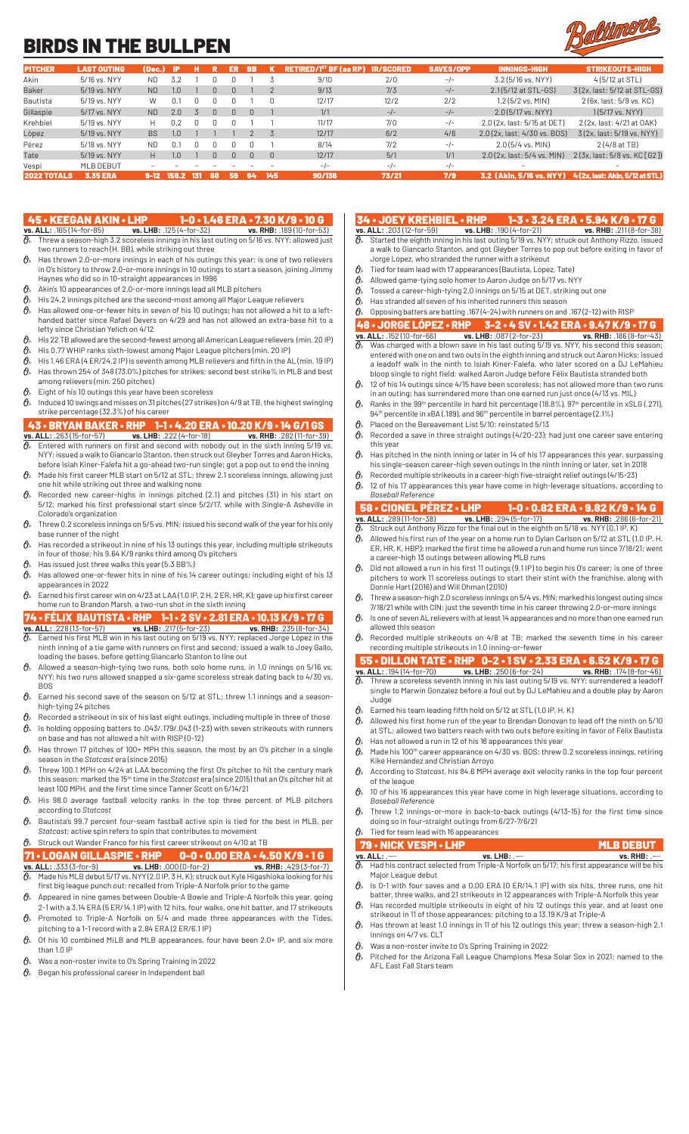# BIRDS IN THE BULLPEN



| <b>PITCHER</b>     | <b>LAST OUTING</b> | (Dec.)    | -IP           |     |          | ER | BB.    |          | <b>RETIRED/1<sup>st</sup> BF (as RP)</b> | <b>IR/SCORED</b> | <b>SAVES/OPP</b> | <b>INNINGS-HIGH</b>          | <b>STRIKEOUTS-HIGH</b>          |
|--------------------|--------------------|-----------|---------------|-----|----------|----|--------|----------|------------------------------------------|------------------|------------------|------------------------------|---------------------------------|
| Akin               | 5/16 vs. NYY       | ND.       | 3.2           |     |          |    |        |          | 9/10                                     | 2/0              | $-/-$            | 3.2 (5/16 vs. NYY)           | 4 (5/12 at STL)                 |
| Baker              | 5/19 vs. NYY       | <b>ND</b> | $1.0^{\circ}$ |     |          |    |        |          | 9/13                                     | 7/3              | $-/-$            | 2.1(5/12 at STL-GS)          | 3(2x, last: 5/12 at STL-GS)     |
| Bautista           | 5/19 vs. NYY       | W         | 0.1           |     |          |    |        |          | 12/17                                    | 12/2             | 2/2              | $1.2$ (5/2 vs. MIN)          | 2 (6x, last: 5/9 vs, KC)        |
| Gillaspie          | 5/17 vs. NYY       | <b>ND</b> | 2.0           |     | $\Omega$ |    | $\cap$ |          | 1/1                                      | $-/-$            | $-/-$            | $2.0(5/17$ vs. NYY)          | $1(5/17 \text{ vs. } NYY)$      |
| Krehbiel           | 5/19 vs. NYY       | н         | 0.2           |     |          |    |        |          | 11/17                                    | 7/0              | $-/-$            | 2.0 (2x, last: 5/15 at DET)  | 2 (2x, last: 4/21 at OAK)       |
| López              | 5/19 vs. NYY       | <b>BS</b> | 1.0           |     |          |    |        |          | 12/17                                    | 6/2              | 4/6              | 2.0 (2x, last: 4/30 vs. BOS) | 3(2x, last: 5/19 vs. NYY)       |
| Pérez              | 5/18 vs. NYY       | <b>ND</b> | 0.1           |     |          |    |        |          | 8/14                                     | 7/2              | $-/-$            | $2.0(5/4$ vs. MIN)           | 2(4/8atTB)                      |
| Tate               | 5/19 vs. NYY       | H.        | $1.0^{\circ}$ |     |          |    | $\Box$ | $\Omega$ | 12/17                                    | 5/1              | 1/1              | 2.0 (2x, last: 5/4 vs, MIN)  | 2(3x, last: 5/8 vs. KC[G2])     |
| Vespi              | <b>MLB DEBUT</b>   |           |               |     |          |    |        |          | $-1$                                     | $-/-$            | $-/-$            |                              |                                 |
| <b>2022 TOTALS</b> | <b>3.35 ERA</b>    | $9-12$    | 158.2         | 131 | 68       | 59 | 64     | 145      | 90/136                                   | 73/21            | 7/9              | 3.2 (Akin. 5/16 vs. NYY)     | 4 (2x. last: Akin. 5/12 at STL) |

- 45 KEEGAN AKIN LHP 1-0 1.46 ERA 7.30 K/9 10 G<br>
<u>vs. ALL: .165 (14-for-85) vs. LHB: .125 (4-for-32) vs. RHB: .189 (10-for-53)</u><br>  $\theta$ , Threw a season-high 3.2 scorelass innings in big last such as 199 (10-for-55) **vs. ALL:** .165 (14-for-85) **vs. LHB:** .125 (4-for-32) **vs. RHB:** .189 (10-for-53)  $\vartheta$  Threw a season-high 3.2 scoreless innings in his last outing on 5/16 vs. NYY; allowed just two runners to reach (H, BB), while striking out three
- $\theta$ <sup>\*</sup> Has thrown 2.0-or-more innings in each of his outings this year; is one of two relievers in O's history to throw 2.0-or-more innings in 10 outings to start a season, joining Jimmy Haynes who did so in 10-straight appearances in 1996
- $\mathcal{O}_{\mathcal{P}}$  Akin's 10 appearances of 2.0-or-more innings lead all MLB pitchers
- $\theta$  His 24.2 innings pitched are the second-most among all Major League relievers
- $\theta$  Has allowed one-or-fewer hits in seven of his 10 outings; has not allowed a hit to a lefthanded batter since Rafael Devers on 4/29 and has not allowed an extra-base hit to a lefty since Christian Yelich on 4/12
- $\theta$  His 22 TB allowed are the second-fewest among all American League relievers (min. 20 IP)
- His 0.77 WHIP ranks sixth-lowest among Major League pitchers (min. 20 IP)
- $\theta$  His 1.46 ERA (4 ER/24.2 IP) is seventh among MLB relievers and fifth in the AL (min. 19 IP)  $\theta_{\ast}$  Has thrown 254 of 348 (73.0%) pitches for strikes; second best strike% in MLB and best
- among relievers (min. 250 pitches)
- $\theta$ » Eight of his 10 outings this year have been scoreless
- $\vartheta_{\!s}\!$  Induced 10 swings and misses on 31 pitches (27 strikes) on 4/9 at TB, the highest swinging strike percentage (32.3%) of his career

### 43 • BRYAN BAKER • RHP 1-1 • 4.20 ERA • 10.20 K/9 • 14 G/1 GS<br>
vs. ALL: .263 (15-for-57) vs. LHB: .222 (4-for-18) vs. RHB: .282 (11-for-39)<br>  $\theta$ , Entered with runners on first and second with pobody out in the state is t **vs. ALL:** .263 (15-for-57) **vs. LHB:** .222 (4-for-18) **vs. RHB:** .282 (11-for-39)

- Entered with runners on first and second with nobody out in the sixth inning 5/19 vs. NYY; issued a walk to Giancarlo Stanton, then struck out Gleyber Torres and Aaron Hicks, before Isiah Kiner-Falefa hit a go-ahead two-run single; got a pop out to end the inning  $\hat{\theta}_s$  Made his first career MLB start on 5/12 at STL; threw 2.1 scoreless innings, allowing just
- one hit while striking out three and walking none
- Recorded new career-highs in innings pitched (2.1) and pitches (31) in his start on 5/12; marked his first professional start since 5/2/17, while with Single-A Asheville in Colorado's organization
- $\theta$  Threw 0.2 scoreless innings on 5/5 vs. MIN; issued his second walk of the year for his only base runner of the night
- $\theta$  Has recorded a strikeout in nine of his 13 outings this year, including multiple strikeouts in four of those; his 9.64 K/9 ranks third among O's pitchers
- $\theta$ » Has issued just three walks this year (5.3 BB%)  $\theta$  Has allowed one-or-fewer hits in nine of his 14 career outings; including eight of his 13 appearances in 2022
- $\theta$  Earned his first career win on 4/23 at LAA (1.0 IP, 2 H, 2 ER, HR, K); gave up his first career home run to Brandon Marsh, a two-run shot in the sixth inning

# 74 • FÉLIX BAUTISTA • RHP 1-1 • 2 SV • 2.81 ERA • 10.13 K/9 • 17 G<br>vs. ALL: .228 (13-for-57) vs. LHB: .217 (5-for-23) vs. RHB: .235 (8-for-34)<br> $\theta$ , Earned his first MLB win in his last outles on E40 us. New York, 235 (8-

- **vs. ALL:** .228 (13-for-57) **vs. LHB:** .217 (5-for-23) **vs. RHB:** .235 (8-for-34)  $\vartheta$  Earned his first MLB win in his last outing on 5/19 vs. NYY; replaced Jorge López in the ninth inning of a tie game with runners on first and second; issued a walk to Joey Gallo, loading the bases, before getting Giancarlo Stanton to line out
- $\partial\!\!\!/_s\!\!\!/$  Allowed a season-high-tying two runs, both solo home runs, in 1.0 innings on 5/16 vs. NYY; his two runs allowed snapped a six-game scoreless streak dating back to 4/30 vs. BOS
- $\mathcal{O}_k$  Earned his second save of the season on 5/12 at STL; threw 1.1 innings and a seasonhigh-tying 24 pitches
- $\theta$  Recorded a strikeout in six of his last eight outings, including multiple in three of those
- $\theta$ <sup>\*</sup> Is holding opposing batters to .043/.179/.043 (1-23) with seven strikeouts with runners on base and has not allowed a hit with RISP (0-12)
- $\theta$  Has thrown 17 pitches of 100+ MPH this season, the most by an O's pitcher in a single season in the *Statcast* era (since 2015)
- $\partial\!\!\!/_s$  Threw 100.1 MPH on 4/24 at LAA becoming the first O's pitcher to hit the century mark this season; marked the 15th time in the *Statcast* era (since 2015) that an O's pitcher hit at least 100 MPH, and the first time since Tanner Scott on 5/14/21
- $\mathcal{O}_{\mathcal{P}}$  His 98.0 average fastball velocity ranks in the top three percent of MLB pitchers according to *Statcast*
- $\hat{\theta}_s$  Bautista's 99.7 percent four-seam fastball active spin is tied for the best in MLB, per *Statcast*; active spin refers to spin that contributes to movement
- $\mathcal{O}_{\mathcal{P}}$  Struck out Wander Franco for his first career strikeout on 4/10 at TB

# **71 • LOGAN GILLASPIE • RHP 0-0 • 0.00 ERA • 4.50 K/9 • 1 G**<br>vs. ALL: .333 (3-for-9) vs. LHB: .000 (0-for-2) vs. RHB: .429 (3-for-7<br> $\theta$ , Made his MLB debut 5/17 vs. NYY (2 0 IP 3 H K) struck out Kula Uncolnity: 429 (3-fo

- **vs. ALL:** .333 (3-for-9) **vs. LHB:** .000 (0-for-2) **vs. RHB:** .429 (3-for-7)  $\theta$  Made his MLB debut 5/17 vs. NYY (2.0 IP, 3 H, K); struck out Kyle Higashioka looking for his first big league punch out; recalled from Triple-A Norfolk prior to the game
- $\hat{\theta}_*$  Appeared in nine games between Double-A Bowie and Triple-A Norfolk this year, going 2-1 with a 3.14 ERA (5 ER/14.1 IP) with 12 hits, four walks, one hit batter, and 17 strikeouts
- $\theta$ <sup>\*</sup> Promoted to Triple-A Norfolk on 5/4 and made three appearances with the Tides, pitching to a 1-1 record with a 2.84 ERA (2 ER/6.1 IP)
- $\mathcal{O}_{\mathbb{A}}$  Of his 10 combined MiLB and MLB appearances, four have been 2.0+ IP, and six more than  $1.0$  IP
- $\theta$  Was a non-roster invite to O's Spring Training in 2022
- $\mathcal{B}_k$  Began his professional career in Independent ball

# 34 • JOEY KREHBIEL • RHP 1-3 • 3.24 ERA • 5.94 K/9 • 17 G<br>vs. ALL: .203(12-for-59) vs. LHB: .190 (4-for-21) vs. RHB: .211 (8-for-38)<br> $\delta_{\lambda}$  Started the eighth inning in bis last outlog 5.40 vs. NMC 1004 **vs. ALL:** .203 (12-for-59) **vs. LHB:** .190 (4-for-21) **vs. RHB:** .211 (8-for-38)

- $\partial\!\!\!/_s$  Started the eighth inning in his last outing 5/19 vs. NYY; struck out Anthony Rizzo, issued a walk to Giancarlo Stanton, and got Gleyber Torres to pop out before exiting in favor of Jorge López, who stranded the runner with a strikeout
- $\hat{\theta}_s$  Tied for team lead with 17 appearances (Bautista, López, Tate)<br> $\hat{\theta}_s$  Allowed game-tying solo homer to Aaron Judge on 5/17 vs. N)
- Allowed game-tying solo homer to Aaron Judge on 5/17 vs. NYY
- $\theta$ <sup>\*</sup> Tossed a career-high-tying 2.0 innings on 5/15 at DET, striking out one
- $\theta$ » Has stranded all seven of his inherited runners this season
- $\theta$  Opposing batters are batting .167 (4-24) with runners on and .167 (2-12) with RISP

### 48 • JORGE LÓPEZ • RHP 3-2 • 4 SV • 1.42 ERA • 9.47 K/9 • 17 G<br>
VS. ALL: .152 (10-for-66) vs. LHB: .087 (2-for-23) vs. RHB: .186 (8-for-43)<br>  $\frac{1}{9}$  Was charged with a higher same in his last outing 5/10 vs. NWY 51**vs. ALL:** .152 (10-for-66) **vs. LHB:** .087 (2-for-23) **vs. RHB:** .186 (8-for-43)

- $\partial\!\!\!/_s\!\!\!~$  Was charged with a blown save in his last outing 5/19 vs. NYY, his second this season; entered with one on and two outs in the eighth inning and struck out Aaron Hicks; issued a leadoff walk in the ninth to Isiah Kiner-Falefa, who later scored on a DJ LeMahieu bloop single to right field; walked Aaron Judge before Félix Bautista stranded both
- $\theta$  12 of his 14 outings since 4/15 have been scoreless; has not allowed more than two runs in an outing; has surrendered more than one earned run just once (4/13 vs. MIL)
- $\theta$ <sup>\*</sup> Ranks in the 99<sup>th</sup> percentile in hard hit percentage (18.8%), 97<sup>th</sup> percentile in xSLG (.271), 94th percentile in xBA (.189), and 96th percentile in barrel percentage (2.1%)  $\theta$  Placed on the Bereavement List 5/10; reinstated 5/13
- $\theta$  Recorded a save in three straight outings (4/20-23); had just one career save entering
- this year  $\hat{\theta}_k$  Has pitched in the ninth inning or later in 14 of his 17 appearances this year, surpassing
- his single-season career-high seven outings in the ninth inning or later, set in 2018  $\theta$  Recorded multiple strikeouts in a career-high five-straight relief outings (4/15-23)
- $\theta$  12 of his 17 appearances this year have come in high-leverage situations, according to *Baseball Reference*

# **3 • CIONEL PÉREZ • LHP 1-0 • 0.82 ERA • 9.82 K/9 • 14 G<br>ALL: .289 (11-for-38) ss. LHB: .294 (5-for-17) ss. RHB: .286 (6-for-21)**

- **vs. ALL:** .289 (11-for-38) Struck out Anthony Rizzo for the final out in the eighth on 5/18 vs. NYY (0.1 IP)
- $\theta$ » Allowed his first run of the year on a home run to Dylan Carlson on 5/12 at STL (1.0 IP, H, ER, HR, K, HBP); marked the first time he allowed a run and home run since 7/18/21; went a career-high 13 outings between allowing MLB runs
- $\hat{\theta}_k$  Did not allowed a run in his first 11 outings (9.1 IP) to begin his O's career; is one of three pitchers to work 11 scoreless outings to start their stint with the franchise, along with Donnie Hart (2016) and Will Ohman (2010)
- $\theta$ <sup>s</sup> Threw a season-high 2.0 scoreless innings on 5/4 vs. MIN; marked his longest outing since 7/18/21 while with CIN; just the seventh time in his career throwing 2.0-or-more innings
- $\bm{\theta}_{k-}$  Is one of seven AL relievers with at least 14 appearances and no more than one earned run allowed this season
- Recorded multiple strikeouts on 4/8 at TB; marked the seventh time in his career recording multiple strikeouts in 1.0 inning-or-fewer

### 55 • DILLON TATE • RHP 0-2 • 1 SV • 2.33 ERA • 6.52 K/9 • 17 G **vs. ALL:** .194 (14-for-70) **vs. LHB:** .250 (6-for-24) **vs. RHB:** .174 (8-for-46)

- $\partial\!\!\!/_s$  Threw a scoreless seventh inning in his last outing 5/19 vs. NYY; surrendered a leadoff single to Marwin Gonzalez before a foul out by DJ LeMahieu and a double play by Aaron Judge
- $\mathcal{O}_{\mathcal{P}}$  Earned his team leading fifth hold on 5/12 at STL (1.0 IP, H, K)
- $\partial\!\!\!/_s\!\!\!/$  Allowed his first home run of the year to Brendan Donovan to lead off the ninth on 5/10 at STL; allowed two batters reach with two outs before exiting in favor of Félix Bautista
- $\theta$  Has not allowed a run in 12 of his 16 appearances this year  $\theta$  Made his 100<sup>th</sup> career appearance on 4/30 vs. BOS; threw 0.2 scoreless innings, retiring
- Kiké Hernández and Christian Arroyo According to *Statcast*, his 84.6 MPH average exit velocity ranks in the top four percent
- of the league  $\mathcal{O}_{\lambda}$  10 of his 16 appearances this year have come in high leverage situations, according to *Baseball Reference*
- Threw 1.2 innings-or-more in back-to-back outings (4/13-15) for the first time since doing so in four-straight outings from 6/27-7/6/21

# Tied for team lead with 16 appearances

- **79 NICK VESPI LHP**<br> **VS. LHB:**  $--$ <br> **VS. LHB:**  $--$ <br> **VS. Had his contract selected from Triple-A Norfolk on 5/17; his first appearance will be h<br>
<b>MLB DEBUT vs. ALL:** .--- **vs. LHB:** .--- **vs. RHB:** .--- Had his contract selected from Triple-A Norfolk on 5/17; his first appearance will be his Major League debut
- $\hat{\theta}_s$  is 0-1 with four saves and a 0.00 ERA (0 ER/14.1 IP) with six hits, three runs, one hit batter, three walks, and 21 strikeouts in 12 appearances with Triple-A Norfolk this year
- $\partial\!\!\!/_s\!\!\!/$  Has recorded multiple strikeouts in eight of his 12 outings this year, and at least one strikeout in 11 of those appearances; pitching to a 13.19 K/9 at Triple-A
- $\partial\!\!\!/_s\!\!\!/$  Has thrown at least 1.0 innings in 11 of his 12 outings this year; threw a season-high 2.1 innings on 4/7 vs. CLT
- $\theta$  Was a non-roster invite to O's Spring Training in 2022
- Pitched for the Arizona Fall League Champions Mesa Solar Sox in 2021; named to the AFL East Fall Stars team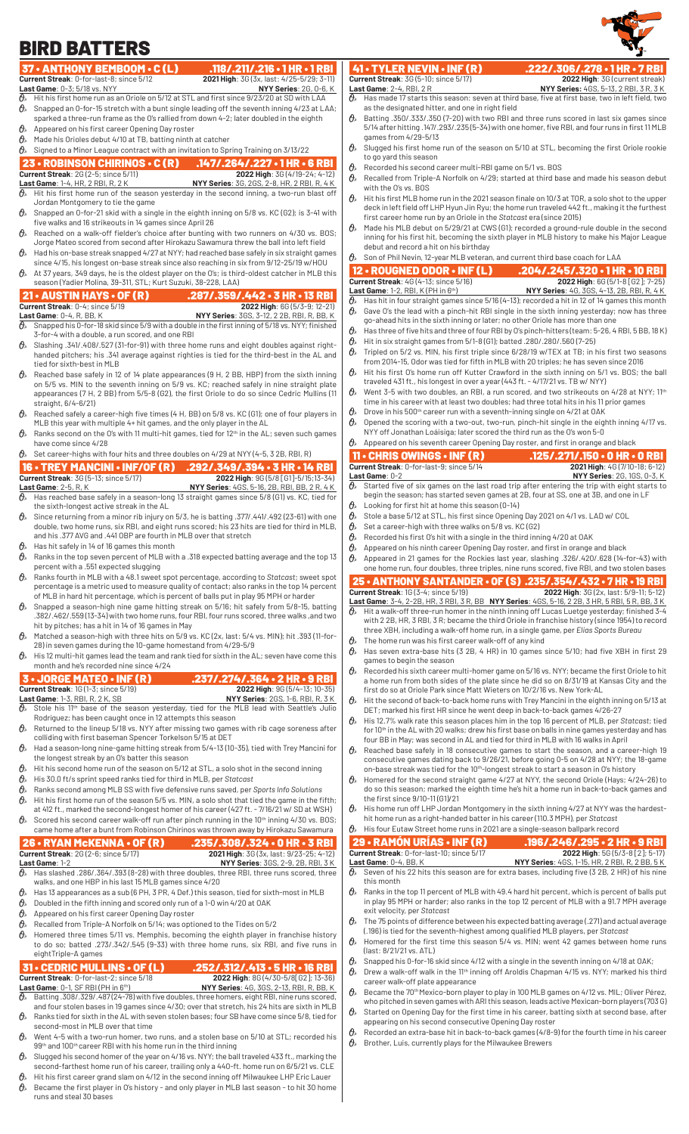

### 37 • ANTHONY BEMBOOM • C (L) .118/.211/.216 • 1 HR • 1 RBI<br>Current Streak: 0-for-last-8; since 5/12 2021 High: 36 (3x, last: 4/25-5/29; 3-11) **2021 High:** 3G (3x, last: 4/25-5/29; 3-11)<br>**NYY Series**: 2G, 0-6, K **Last Game**:  $0-3$ ;  $5/18$  vs. NYY  $\theta_s$  Hit his first home run as a Hit his first home run as an Oriole on 5/12 at STL and first since 9/23/20 at SD with LAA  $\theta$  Snapped an 0-for-15 stretch with a bunt single leading off the seventh inning 4/23 at LAA; sparked a three-run frame as the O's rallied from down 4-2; later doubled in the eighth  $\theta$ » Appeared on his first career Opening Day roster  $\theta$ <sup>\*</sup> Made his Orioles debut 4/10 at TB, batting ninth at catcher  $\theta$  Signed to a Minor League contract with an invitation to Spring Training on 3/13/22 23 • ROBINSON CHIRINOS • C (R) .147/.264/.227 • 1 HR • 6 RBI **Current Streak**: 2G (2-5; since 5/11) **2022 High**: 3G (4/19-24; 4-12) **Last Game**: 1-4, HR, 2 RBI, R, 2 K **NYY Series**: 3G, 2GS, 2-8, HR, 2 RBI, R, 4 K  $\vartheta$  Hit his first home run of the season yesterday in the second inning, a two-run blast off Jordan Montgomery to tie the game  $\theta$  Snapped an 0-for-21 skid with a single in the eighth inning on 5/8 vs. KC (G2); is 3-41 with five walks and 16 strikeouts in 14 games since April 26  $\mathcal{O}_n$  Reached on a walk-off fielder's choice after bunting with two runners on 4/30 vs. BOS; Jorge Mateo scored from second after Hirokazu Sawamura threw the ball into left field  $\theta$ » Had his on-base streak snapped 4/27 at NYY; had reached base safely in six straight games since 4/15, his longest on-base streak since also reaching in six from 9/12-25/19 w/HOU  $\theta$  At 37 years, 349 days, he is the oldest player on the O's; is third-oldest catcher in MLB this season (Yadier Molina, 39-311, STL; Kurt Suzuki, 38-228, LAA) **21 • AUSTIN HAYS • OF (R) .287/.359/.442 • 3 HR • 13 RBI**<br>Current Streak: 0-4; since 5/19 2022 High: 66 (5/3-9; 12-21) **Current Streak**: 0-4; since 5/19 **Last Game**: 0-4, R, BB, K **NYY Series**: 3GS, 3-12, 2 2B, RBI, R, BB, K  $\vartheta_{\!s}\;$  Snapped his 0-for-18 skid since 5/9 with a double in the first inning of 5/18 vs. NYY; finished 3-for-4 with a double, a run scored, and one RBI  $\theta_{\ell}$  Slashing .341/.408/.527 (31-for-91) with three home runs and eight doubles against righthanded pitchers; his .341 average against righties is tied for the third-best in the AL and tied for sixth-best in MLB  $\theta$  Reached base safely in 12 of 14 plate appearances (9 H, 2 BB, HBP) from the sixth inning on 5/5 vs. MIN to the seventh inning on 5/9 vs. KC; reached safely in nine straight plate appearances (7 H, 2 BB) from 5/5-8 (G2), the first Oriole to do so since Cedric Mullins (11 straight, 6/4-6/21)  $\vartheta$  Reached safely a career-high five times (4 H, BB) on 5/8 vs. KC (G1); one of four players in MLB this year with multiple 4+ hit games, and the only player in the AL  $\theta$  Ranks second on the O's with 11 multi-hit games, tied for 12<sup>th</sup> in the AL; seven such games have come since 4/28  $\mathcal{O}_{\mathbb{A}}$  Set career-highs with four hits and three doubles on 4/29 at NYY (4-5, 3 2B, RBI, R) 16 • TREY MANCINI • INF/OF (R) .292/.349/.394 • 3 HR • 14 RBI **Current Streak**: 3G (5-13; since 5/17) **2022 High**: 9G (5/8 [G1]-5/15;13-34) **Last Game**: 2-5, R, K **NYY Series**: 4GS, 5-16, 2B, RBI, BB, 2 R, 4 K  $\partial\!\!\!/_s\!\!\!~$  Has reached base safely in a season-long 13 straight games since 5/8 (G1) vs. KC, tied for the sixth-longest active streak in the AL  $\mathcal{O}_{\!\!s}\!$  Since returning from a minor rib injury on 5/3, he is batting .377/.441/.492 (23-61) with one double, two home runs, six RBI, and eight runs scored; his 23 hits are tied for third in MLB, and his .377 AVG and .441 OBP are fourth in MLB over that stretch  $\theta$ » Has hit safely in 14 of 16 games this month  $\theta$  Ranks in the top seven percent of MLB with a .318 expected batting average and the top 13 percent with a .551 expected slugging  $\theta$ <sup>s</sup> Ranks fourth in MLB with a 48.1 sweet spot percentage, according to Statcast; sweet spot percentage is a metric used to measure quality of contact; also ranks in the top 14 percent of MLB in hard hit percentage, which is percent of balls put in play 95 MPH or harder  $\theta$  Snapped a season-high nine game hitting streak on 5/16; hit safely from 5/8-15, batting .382/.462/.559 (13-34) with two home runs, four RBI, four runs scored, three walks ,and two hit by pitches; has a hit in 14 of 16 games in May  $\theta$  Matched a season-high with three hits on 5/9 vs. KC (2x, last: 5/4 vs. MIN); hit .393 (11-for-28) in seven games during the 10-game homestand from 4/29-5/9  $\theta$  His 12 multi-hit games lead the team and rank tied for sixth in the AL; seven have come this month and he's recorded nine since 4/24 3 • JORGE MATEO • INF (R) .237/.274/.364 • 2 HR • 9 RBI **Current:** 1G (1-3; since 5/19) **Last Game:** 1-3, RBI, R, 2 K, SB<br> $\theta$ <sub>2</sub> Stole his 11th boos **LAST BRIG BARBI, R, 3 K, AT SERIES: 2GS, 1-6, RBI, R, 3 K** Stole his 11<sup>th</sup> base of the season yesterday, tied for the MLB lead with Seattle's Julio Rodríguez; has been caught once in 12 attempts this season  $\theta$  Returned to the lineup 5/18 vs. NYY after missing two games with rib cage soreness after colliding with first baseman Spencer Torkelson 5/15 at DET  $\theta$ » Had a season-long nine-game hitting streak from 5/4-13 (10-35), tied with Trey Mancini for the longest streak by an O's batter this season His is second home run of the season on 5/12 at STL, a solo shot in the second inning  $\theta_{\rm s}$ . Hit his second home run of the season on 5/12 at STL, a solo shot in the second inning His 30.0 ft/s sprint speed ranks tied for third in MLB, per *Statcast* Ranks second among MLB SS with five defensive runs saved, per *Sports Info Solutions*  $\theta$  Hit his first home run of the season 5/5 vs. MIN, a solo shot that tied the game in the fifth; at 412 ft., marked the second-longest homer of his career (427 ft. - 7/16/21 w/ SD at WSH)  $\theta$  Scored his second career walk-off run after pinch running in the 10<sup>th</sup> inning 4/30 vs. BOS; came home after a bunt from Robinson Chirinos was thrown away by Hirokazu Sawamura **26 • RYAN McKENNA • OF (R)** .235/.308/.324 • 0 HR • 3 RBI<br>221 High: 36 (3x, last: 9/23-25; 4-12<br>221 High: 36 (3x, last: 9/23-25; 4-12 **2021 High:** 3G (3x, last: 9/23-25; 4-12) **Last Game**: 1-2 **NYY Series**: 3GS, 2-9, 2B, RBI, 3 K  $\theta_\text{\tiny s}$  Has slashed .286/.364/.393 (8-28) with three doubles, three RBI, three runs scored, three walks, and one HBP in his last 15 MLB games since 4/20  $\theta$  Has 13 appearances as a sub (6 PH, 3 PR, 4 Def.) this season, tied for sixth-most in MLB  $\theta$ » Doubled in the fifth inning and scored only run of a 1-0 win 4/20 at OAK  $\theta$ <sup>»</sup> Appeared on his first career Opening Day roster  $\theta$ <sup>\*</sup> Recalled from Triple-A Norfolk on 5/14; was optioned to the Tides on 5/2  $\hat{\theta}_k$  Homered three times 5/11 vs. Memphis, becoming the eighth player in franchise history to do so; batted .273/.342/.545 (9-33) with three home runs, six RBI, and five runs in eightTriple-A games 31 • CEDRIC MULLINS • OF (L) .252/.312/.413 • 5 HR • 16 RBI<br>Current Streak: 0-for-last-2; since 5/18 2022 High: 8G (4/30-5/8[62]; 13-36)<br>Last Game: 0-1, SF RBI (PH in 6<sup>th</sup>) NYY Series: 4G, 3GS, 2-13, RBI, R, BB, K<br> $\frac{1}{$ **Current Streak**: 0-for-last-2; since 5/18 **LAST BAY Y Series: 4G, 3GS, 2-13, RBI, R, BB, K**  $\theta_{\!\scriptscriptstyle k}$  Batting .308/.329/.487(24-78) with five doubles, three homers, eight RBI, nine runs scored, and four stolen bases in 19 games since 4/30; over that stretch, his 24 hits are sixth in MLB  $\theta$  Ranks tied for sixth in the AL with seven stolen bases; four SB have come since 5/8, tied for second-most in MLB over that time  $\mathcal{O}_{\ell}$  Went 4-5 with a two-run homer, two runs, and a stolen base on 5/10 at STL; recorded his 99th and 100th career RBI with his home run in the third inning 41 • TYLER NEVIN • INF (R) .222/.306/.278 • 1 HR • 7 RBI<br>Current Streak: 36 (5-10; since 5/17) 2022 High: 36 (current streak) **Current Streak:** 3G (5-10; since 5/17)<br>**Last Game**: 2-4, RBI, 2 R<br> $\overline{O}_8$  Has made 17 starts this season: **Last Game**: 2-4, RBI, 2 R **NYY Series:** 4GS, 5-13, 2 RBI, 3 R, 3 K  $\partial\!\!\!/_s\!\!\!/$  Has made 17 starts this season: seven at third base, five at first base, two in left field, two as the designated hitter, and one in right field  $\hat{\theta}_s$  Batting .350/.333/.350 (7-20) with two RBI and three runs scored in last six games since 5/14 after hitting .147/.293/.235 (5-34) with one homer, five RBI, and four runs in first 11 MLB games from 4/29-5/13  $\theta$ <sup>s</sup> Slugged his first home run of the season on 5/10 at STL, becoming the first Oriole rookie to go yard this season  $\theta_{\text{k}}$  Recorded his second career multi-RBI game on 5/1 vs. BOS  $\theta$  Recalled from Triple-A Norfolk on 4/29; started at third base and made his season debut with the O's vs. BOS  $\theta$  Hit his first MLB home run in the 2021 season finale on 10/3 at TOR, a solo shot to the upper deck in left field off LHP Hyun Jin Ryu; the home run traveled 442 ft., making it the furthest first career home run by an Oriole in the *Statcast* era (since 2015)  $\theta$  Made his MLB debut on 5/29/21 at CWS (G1); recorded a ground-rule double in the second inning for his first hit, becoming the sixth player in MLB history to make his Major League debut and record a hit on his birthday  $\theta$  Son of Phil Nevin, 12-year MLB veteran, and current third base coach for LAA 12 • ROUGNED ODOR • INF (L) .204/.245/.320 • 1 HR • 10 RBI **Current:** 4G (4-13; since 5,<br> **Current Streame:** 1-2, RBI, K (PH in 6<sup>th</sup>)<br>  $\theta_x$  Has hit in four start in 1 **Last Game**: 1-2, RBI, K (PH in 6th) **NYY Series**: 4G, 3GS, 4-13, 2B, RBI, R, 4 K  $\vartheta$   $\!\!\sim$   $\,$  Has hit in four straight games since 5/16 (4-13); recorded a hit in 12 of 14 games this month  $\hat{\theta}_s$  Gave O's the lead with a pinch-hit RBI single in the sixth inning yesterday; now has three go-ahead hits in the sixth inning or later; no other Oriole has more than one  $\vartheta_{\rm *} \;$  Has three of five hits and three of four RBI by O's pinch-hitters (team: 5-26, 4 RBI, 5 BB, 18 K)  $\delta$  Hit in six straight games from 5/1-8 (G1); batted .280/.280/.560 (7-25)  $\theta$ <sup>\*</sup> Tripled on 5/2 vs. MIN, his first triple since 6/28/19 w/TEX at TB; in his first two seasons from 2014-15, Odor was tied for fifth in MLB with 20 triples; he has seven since 2016  $\hat{\theta}_k$ . Hit his first O's home run off Kutter Crawford in the sixth inning on 5/1 vs. BOS; the ball traveled 431 ft., his longest in over a year (443 ft. - 4/17/21 vs. TB w/ NYY)  $\mathcal{O}_{\!s}\;$  Went 3-5 with two doubles, an RBI, a run scored, and two strikeouts on 4/28 at NYY; 11<sup>th</sup> time in his career with at least two doubles; had three total hits in his 11 prior games Drove in his 500<sup>th</sup> career run with a seventh-inning single on 4/21 at OAK  $\theta$  Opened the scoring with a two-out, two-run, pinch-hit single in the eighth inning 4/17 vs. NYY off Jonathan Loáisiga; later scored the third run as the O's won 5-0  $\theta$  Appeared on his seventh career Opening Day roster, and first in orange and black 11 • CHRIS OWINGS • INF (R) .125/.271/.150 • 0 HR • 0 RBI **Current Streak**: 0-for-last-9; since 5/14<br>**Last Game**: 0-2 Last Game: 0-2<br> **D** Started five of six games on the last road trip after entering the trip with eight starts to Started five of six games on the last road trip after entering the trip with eight starts to begin the season; has started seven games at 2B, four at SS, one at 3B, and one in LF  $\theta$  Looking for first hit at home this season (0-14)  $\theta$  Stole a base 5/12 at STL, his first since Opening Day 2021 on 4/1 vs. LAD w/ COL  $\mathcal{O}_n$  Set a career-high with three walks on 5/8 vs. KC (G2)<br> $\mathcal{O}_n$  Recorded his first O's hit with a single in the third inni Recorded his first O's hit with a single in the third inning 4/20 at OAK  $\theta$  Appeared on his ninth career Opening Day roster, and first in orange and black  $\theta$  Appeared in 21 games for the Rockies last year, slashing .326/.420/.628 (14-for-43) with one home run, four doubles, three triples, nine runs scored, five RBI, and two stolen bases **25 • ANTHONY SANTANDER • OF (S) .235/.354/.432 • 7 HR • 19 RBI**<br>Current Streak: 16 (3-4; since 5/19) **2022 •** 2022 High: 36 (2x, last: 5/9-1185-12) **2022 High**: 3G (2x, last: 5/9-11; 5-12) **Last Game:** 3-4, 2-2B, HR, 3 RBI, 3 R, BB **NYY Series**: 4GS, 5-16, 2 2B, 3 HR, 5 RBI, 5 R, BB, 3 K<br>  $\overline{\theta}_s$  Hit a walk-off three-run homer in the ninth inning off Lucas Luetge yesterday; finished 3-4  $\vartheta$   $\!\!\sim$   $\!\!$  Hit a walk-off three-run homer in the ninth inning off Lucas Luetge yesterday; finished 3-4 with 2 2B, HR, 3 RBI, 3 R; became the third Oriole in franchise history (since 1954) to record three XBH, including a walk-off home run, in a single game, per *Elias Sports Bureau*  $\theta$  The home run was his first career walk-off of any kind  $\overline{\theta}_s$  Has seven extra-base hits (3 2B, 4 HR) in 10 games since 5/10; had five XBH in first 29 games to begin the season  $\theta$ » Recorded his sixth career multi-homer game on 5/16 vs. NYY; became the first Oriole to hit a home run from both sides of the plate since he did so on 8/31/19 at Kansas City and the first do so at Oriole Park since Matt Wieters on 10/2/16 vs. New York-AL  $\theta$  Hit the second of back-to-back home runs with Trey Mancini in the eighth inning on 5/13 at DET; marked his first HR since he went deep in back-to-back games 4/26-27  $\partial\!\!\!/_s$  His 12.7% walk rate this season places him in the top 16 percent of MLB, per *Statcast; tied* for 10th in the AL with 20 walks; drew his first base on balls in nine games yesterday and has four BB in May; was second in AL and tied for third in MLB with 16 walks in April  $\theta_{k}$  Reached base safely in 18 consecutive games to start the season, and a career-high 19 consecutive games dating back to 9/26/21, before going 0-5 on 4/28 at NYY; the 18-game on-base streak was tied for the 10<sup>th</sup>-longest streak to start a season in O's history  $\theta$  Homered for the second straight game 4/27 at NYY, the second Oriole (Hays; 4/24-26) to do so this season; marked the eighth time he's hit a home run in back-to-back games and the first since 9/10-11 (G1)/21  $\theta$  His home run off LHP Jordan Montgomery in the sixth inning 4/27 at NYY was the hardesthit home run as a right-handed batter in his career (110.3 MPH), per *Statcast*  $\theta_{\ast}$  His four Eutaw Street home runs in 2021 are a single-season ballpark record 29 • RAMÓN URÍAS • INF (R) .196/.246/.295 • 2 HR • 9 RBI **Current Streak**: 0-for-last-10; since 5/17 Last Game: 0-4, BB, K<br> **NYY Series:** 4GS, 1-15, HR, 2 RBI, R, 2 BB, 5 K<br>  $\overline{\theta}_s$  Seven of his 22 hits this season are for extra bases, including five (3 2B, 2 HR) of his nine Seven of his 22 hits this season are for extra bases, including five (3 2B, 2 HR) of his nine this month  $\theta$  Ranks in the top 11 percent of MLB with 49.4 hard hit percent, which is percent of balls put in play 95 MPH or harder; also ranks in the top 12 percent of MLB with a 91.7 MPH average exit velocity, per *Statcast*  $\vartheta$  The 75 points of difference between his expected batting average (.271) and actual average (.196) is tied for the seventh-highest among qualified MLB players, per *Statcast*  $\theta$  Homered for the first time this season  $5/4$  vs. MIN; went 42 games between home runs (last: 8/21/21 vs. ATL)  $\hat{\theta}_s$  Snapped his 0-for-16 skid since 4/12 with a single in the seventh inning on 4/18 at OAK;  $\hat{\theta}_s$  Drew a walk-off walk in the 11<sup>th</sup> inning off Aroldis Chapman 4/15 vs. NYY; marked his third career walk-off plate appearance  $\hat{\theta}_k$  Became the 70<sup>th</sup> Mexico-born player to play in 100 MLB games on 4/12 vs. MIL; Oliver Pérez, who pitched in seven games with ARI this season, leads active Mexican-born players (703 G)  $\theta$  Started on Opening Day for the first time in his career, batting sixth at second base, after appearing on his second consecutive Opening Day roster  $\theta$  Recorded an extra-base hit in back-to-back games (4/8-9) for the fourth time in his career  $\theta$  Brother, Luis, currently plays for the Milwaukee Brewers BIRD BATTERS

 $\vartheta$   $\!$  Slugged his second homer of the year on 4/16 vs. NYY; the ball traveled 433 ft., marking the second-farthest home run of his career, trailing only a 440-ft. home run on 6/5/21 vs. CLE Hit his first career grand slam on 4/12 in the second inning off Milwaukee LHP Eric Lauer  $\theta$  Became the first player in O's history - and only player in MLB last season - to hit 30 home

runs and steal 30 bases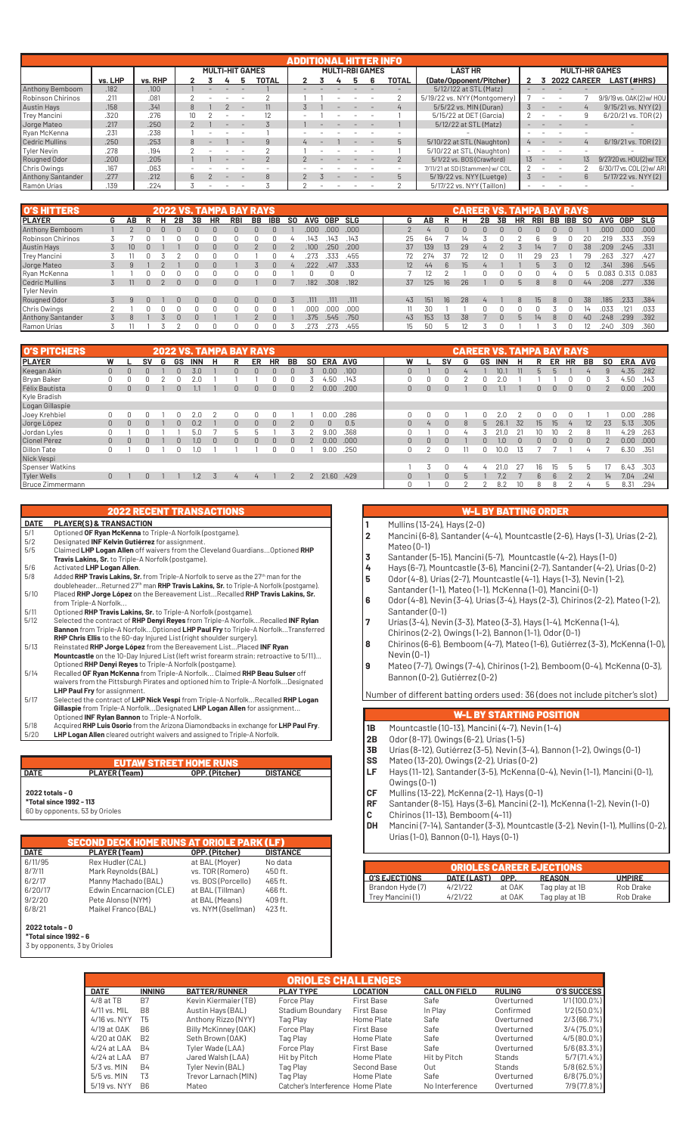|                          | ADDITIONAL HITTER INFO |         |     |  |                        |  |       |  |  |  |                        |       |                                |                 |                          |                          |                |                           |
|--------------------------|------------------------|---------|-----|--|------------------------|--|-------|--|--|--|------------------------|-------|--------------------------------|-----------------|--------------------------|--------------------------|----------------|---------------------------|
|                          |                        |         |     |  | <b>MULTI-HIT GAMES</b> |  |       |  |  |  | <b>MULTI-RBI GAMES</b> |       | <b>LAST HR</b>                 |                 |                          |                          |                | <b>MULTI-HR GAMES</b>     |
|                          | vs. LHP                | vs. RHP |     |  |                        |  | TOTAL |  |  |  |                        | TOTAL | (Date/Opponent/Pitcher)        |                 |                          | 2022 CAREER              |                | LAST (#HRS)               |
| Anthony Bemboom          | .182                   | .100    |     |  |                        |  |       |  |  |  |                        |       | 5/12/122 at STL (Matz)         |                 |                          |                          |                |                           |
| Robinson Chirinos        | .211                   | .081    |     |  |                        |  |       |  |  |  |                        |       | 5/19/22 vs. NYY (Montgomery)   |                 |                          |                          |                | 9/9/19 vs. 0AK(2) w/ HOU  |
| <b>Austin Hays</b>       | .158                   | .341    |     |  |                        |  |       |  |  |  |                        |       | 5/5/22 vs. MIN (Duran)         |                 |                          |                          |                | 9/15/21 vs. NYY (2)       |
| Trey Mancini             | .320                   | .276    | 10. |  |                        |  |       |  |  |  |                        |       | 5/15/22 at DET (García)        |                 | ۰                        | $\overline{\phantom{a}}$ | 9              | 6/20/21 vs. TOR(2)        |
| Jorge Mateo              | .217                   | .250    |     |  |                        |  |       |  |  |  |                        |       | 5/12/22 at STL (Matz)          |                 |                          |                          |                |                           |
| Ryan McKenna             | .231                   | .238    |     |  |                        |  |       |  |  |  |                        |       |                                |                 |                          |                          |                |                           |
| <b>Cedric Mullins</b>    | .250                   | .253    |     |  |                        |  |       |  |  |  |                        | h.    | 5/10/22 at STL (Naughton)      |                 |                          |                          | $\overline{4}$ | 6/19/21 vs. TOR(2)        |
| Tyler Nevin              | .278                   | .194    |     |  |                        |  |       |  |  |  |                        |       | 5/10/22 at STL (Naughton)      |                 |                          |                          |                |                           |
| Rougned Odor             | .200                   | .205    |     |  |                        |  |       |  |  |  |                        |       | 5/1/22 vs. BOS (Crawford)      | 13 <sup>7</sup> | $\sim$                   |                          | $13 \,$        | 9/27/20 vs. HOU(2) w/ TEX |
| Chris Owings             | .167                   | .063    |     |  |                        |  |       |  |  |  |                        |       | 7/11/21 at SD (Stammen) w/ COL |                 |                          |                          |                | 6/30/17 vs. COL(2) w/ ARI |
| <b>Anthony Santander</b> | .277                   | .212    |     |  |                        |  |       |  |  |  |                        |       | 5/19/22 vs. NYY (Luetge)       |                 | $\overline{\phantom{0}}$ |                          | հ              | 5/17/22 vs. NYY (2)       |
| Ramón Urías              | .139                   | .224    |     |  |                        |  |       |  |  |  |                        |       | 5/17/22 vs. NYY (Taillon)      |                 |                          |                          |                |                           |

| <b>O'S HITTERS</b> |   |    |  |    |              |           | 2022 VS. TAMPA BAY RAYS |    |            |                |            |            |       |                  |                |                 | <b>CAREER VS. TAMPA BAY RAYS</b> |    |           |           |            |    |            |           |            |             |            |
|--------------------|---|----|--|----|--------------|-----------|-------------------------|----|------------|----------------|------------|------------|-------|------------------|----------------|-----------------|----------------------------------|----|-----------|-----------|------------|----|------------|-----------|------------|-------------|------------|
| <b>PLAYER</b>      | G | AΒ |  | 2Β | 3В           | <b>HR</b> | <b>RBI</b>              | BB | <b>IBB</b> | S <sub>0</sub> | <b>AVG</b> | <b>OBP</b> | SLG   | G                | АΒ             |                 |                                  | 2B | <b>3B</b> | <b>HR</b> | <b>RBI</b> | BB | <b>IBB</b> | <b>SO</b> | <b>AVG</b> | <b>OBP</b>  | <b>SLG</b> |
| Anthony Bemboom    |   |    |  |    |              |           |                         | n  |            |                | .00C       | .000       | .000  |                  | $\overline{a}$ |                 |                                  |    |           |           |            | n. |            |           | .000       | .000        | .000       |
| Robinson Chirinos  |   |    |  |    |              |           |                         |    |            |                | .143       | 143        | .143  | 25               | 64             |                 | 14                               |    |           |           |            |    |            | 20        | .219       | .333        | .359       |
| Austin Hays        |   | 10 |  |    | $\Omega$     | $\Omega$  | 0                       |    | $\cap$     |                | .100       | 250        | .200  | 37               | 139            | 13 <sub>1</sub> | 29                               |    |           |           | 14         |    |            | 38        | .209       | .245        | .331       |
| Trey Mancini       |   |    |  |    |              |           |                         |    |            |                | 273        | 333        | .455  |                  | 274            | 37              |                                  |    |           |           | 29         |    |            | 79        | 263        | 327.        | .427       |
| Jorge Mateo        |   |    |  |    | <sup>n</sup> | $\Omega$  |                         |    | $\cap$     | 4              | .222       | .417       | .333  | $12^{\circ}$     | 44             | 6               | $15 \overline{\phantom{0}}$      |    |           |           |            |    |            | 12        | .341       | .396        | .545       |
| Ryan McKenna       |   |    |  |    |              |           |                         |    |            |                |            |            |       |                  |                |                 |                                  |    |           |           |            |    |            | h         | 0.083      | 0.313 0.083 |            |
| Cedric Mullins     |   | 11 |  | U  | $\Omega$     | $\Omega$  |                         |    | $\Omega$   |                | .182       | .308       | .182  | 37               | 125            | 16 <sup>°</sup> | 26                               |    |           |           |            |    |            | 44        | .208       | .277        | .336       |
| Tyler Nevin        |   |    |  |    |              |           |                         |    |            |                |            |            |       |                  |                |                 |                                  |    |           |           |            |    |            |           |            |             |            |
| Rougned Odor       |   |    |  |    | <sup>n</sup> | $\Omega$  |                         | n. | n.         |                | .111       | .111       | .111  | 43               | 151            | 16              | 28                               |    |           |           | 15.        |    |            | 38        | .185       | .233        | .384       |
| Chris Owings       | っ |    |  |    |              |           |                         |    |            |                | ,000       | .000       | .000. |                  | 30             |                 |                                  |    |           |           |            |    |            |           | 033        | 121         | .033       |
| Anthony Santander  |   | 8  |  |    |              |           |                         |    | $\cap$     |                | .375       | .545       | .750  | 43               | 153            | 13              | 38                               |    |           |           | 14         | 8  |            | 40        | .248       | .299        | .392       |
| Ramon Urías        |   |    |  |    |              |           |                         |    |            |                | .273       | .273       | .455  | 15 <sup>15</sup> | 50             | h               |                                  |    |           |           |            |    |            |           | 240        | .309        | .360       |

| <b>O'S PITCHERS</b> |                |          |              |   |        |            |          | <b>2022 VS. TAMPA BAY RAYS</b> |                |           |                |          |                   |            |              |              |              |               |    | <b>CAREER VS. TAMPA BAY RAYS</b> |    |              |    |                |              |           |                   |         |
|---------------------|----------------|----------|--------------|---|--------|------------|----------|--------------------------------|----------------|-----------|----------------|----------|-------------------|------------|--------------|--------------|--------------|---------------|----|----------------------------------|----|--------------|----|----------------|--------------|-----------|-------------------|---------|
| <b>PLAYER</b>       | W              |          | SV           | G | GS     | <b>INN</b> | н        | R                              | ER             | <b>HR</b> | BB             | SO.      | <b>ERA</b>        | <b>AVG</b> | W            |              | <b>SV</b>    | G             | GS | <b>INN</b>                       |    | R            | ER | ΗR             | BB           | <b>SO</b> |                   | ERA AVG |
| Keegan Akin         | $\mathbf{0}$   | $\cap$   |              |   |        | 3.0        |          | n                              | $\Omega$       | 0         |                |          | 0.00 <sub>1</sub> | .100       | $\Omega$     |              |              |               |    | 10.5                             |    | $\mathsf{h}$ |    |                |              | 9         | 4.35              | .282    |
| Bryan Baker         |                |          |              |   |        |            |          |                                |                |           |                |          | .50               | .143       |              |              |              |               |    |                                  |    |              |    |                |              |           | 4.50              | .143    |
| Félix Bautista      | $\overline{0}$ | $\cap$   | $\Box$       |   |        |            |          | n.                             | $\Omega$       | $\Omega$  |                |          | 0.00              | .200       | $\mathbf{0}$ | $\Omega$     | <sup>n</sup> |               | n. |                                  |    | $\Omega$     |    | $\Omega$       | $\Omega$     |           | 0.00              | .200    |
| Kyle Bradish        |                |          |              |   |        |            |          |                                |                |           |                |          |                   |            |              |              |              |               |    |                                  |    |              |    |                |              |           |                   |         |
| Logan Gillaspie     |                |          |              |   |        |            |          |                                |                |           |                |          |                   |            |              |              |              |               |    |                                  |    |              |    |                |              |           |                   |         |
| Joey Krehbiel       |                |          |              |   |        | 2.0        |          |                                |                |           |                |          | 0.00              | .286       |              |              |              |               |    | 2.0                              |    |              |    |                |              |           | 0.00              | .286    |
| Jorge López         | $\mathbf{0}$   | $\Omega$ | $\Box$       |   | $\cap$ | 0.2        |          | 0.                             | $\Omega$       | $\Omega$  | 2              | $\Omega$ | $\Box$            | 0.5        | $\mathbf{0}$ | 4            | $\cap$       | $\mathcal{R}$ | h  | 26.1                             | 32 | 15           | 15 | $\overline{4}$ | 12           | 23        | 5.13              | .305    |
| Jordan Lyles        |                |          |              |   |        | 5.0        |          | 'n                             |                |           |                |          | 9.0C              | .368       |              |              |              |               |    |                                  |    |              |    |                |              |           | 4.29              | .263    |
| Cionel Pérez        | $\mathbf{0}$   | $\cap$   |              |   |        | 1.0        | $\Omega$ | 0                              | $\Omega$       | $\Omega$  |                |          | 0.00 <sub>1</sub> | .000       | $\Omega$     | <sup>n</sup> | n            |               |    | 1.0                              |    | $\Omega$     |    |                | <sup>n</sup> |           | 0.00 <sub>1</sub> | .000    |
| Dillon Tate         | 0              |          |              |   |        | ۱.۵        |          |                                |                |           |                |          | 9.00              | .250       |              |              |              |               |    | 10.0                             |    |              |    |                |              |           | 6.30              | .351    |
| Nick Vespi          |                |          |              |   |        |            |          |                                |                |           |                |          |                   |            |              |              |              |               |    |                                  |    |              |    |                |              |           |                   |         |
| Spenser Watkins     |                |          |              |   |        |            |          |                                |                |           |                |          |                   |            |              |              |              |               |    | 21f                              |    | 16           | 15 | $\mathsf{h}$   | h            |           | 6.43              | .303    |
| Tyler Wells         | $\overline{0}$ |          | $\mathbf{0}$ |   |        | 1.2        |          | 4                              | $\overline{4}$ |           | $\overline{2}$ |          | 21.60 .429        |            | $\Omega$     |              |              |               |    | 7.2                              |    | 6            | 6  |                | $\Omega$     | 14        | 7.04              | .241    |
| Bruce Zimmermann    |                |          |              |   |        |            |          |                                |                |           |                |          |                   |            |              |              |              |               |    | 8.2                              |    | 8            |    |                | 4            | b         | 8.31              | .294    |

### 2022 RECENT TRANSACTIONS

- **DATE PLAYER(S) & TRANSACTION** 5/1 Optioned **OF Ryan McKenna** to Triple-A Norfolk (postgame). 5/2 Designated **INF Kelvin Gutiérrez** for assignment. 5/5 Claimed **LHP Logan Allen** off waivers from the Cleveland Guardians...Optioned **RHP Travis Lakins, Sr.** to Triple-A Norfolk (postgame).
- 5/6 **Activated LHP Logan Allen.**<br>5/8 Added RHP Travis Lakins. Sr 5/8 Added **RHP Travis Lakins, Sr.** from Triple-A Norfolk to serve as the 27th man for the doubleheader...Returned 27th man **RHP Travis Lakins, Sr.** to Triple-A Norfolk (postgame). 5/10 Placed **RHP Jorge López** on the Bereavement List...Recalled **RHP Travis Lakins, Sr.**
- from Triple-A Norfolk...<br>5/11 Optioned **RHP Travis Lakins, Sr.** to Triple-A Norfolk (postgame).
- 5/11 Optioned **RHP Travis Lakins, Sr.** to Triple-A Norfolk (postgame).<br>5/12 Selected the contract of **RHP Denyi Reyes from Triple-A Norfolk...Recalled INF Rylan**<br>**Bannon** from Triple-A Norfolk...Optioned LHP Paul Fry to Tr
- 
- waivers from the Pittsburgh Pirates and optioned him to Triple-A Norfolk...Designated
- **LHP Paul Fry** for assignment. 5/17 Selected the contract of **LHP Nick Vespi** from Triple-A Norfolk...Recalled **RHP Logan Gillaspie** from Triple-A Norfolk...Designated **LHP Logan Allen** for assignment...<br>Optioned **INF Rylan Bannon** to Triple-A Norfolk.<br>5/18 Acquired **RHP Luis Osorio** from the Arizona Diamondbacks in exchange for **LHP Paul Fr**
- 5/20 **LHP Logan Allen** cleared outright waivers and assigned to Triple-A Norfolk.

# **EUTAW STREET HOME RUNS**<br>R(Team) **DPP (Pitcher)**

### **DATE PLAYER (Team) OPP. (Pitcher) DISTANCE**

### **2022 totals - 0**

**\*Total since 1992 - 113**

60 by opponents, 53 by Orioles

|             | <b>SECOND DECK HOME RUNS AT ORIOLE PARK (LF)</b> |                    |                 |  |  |  |  |  |  |  |  |  |  |
|-------------|--------------------------------------------------|--------------------|-----------------|--|--|--|--|--|--|--|--|--|--|
| <b>DATE</b> | PLAYER (Team)                                    | OPP. (Pitcher)     | <b>DISTANCE</b> |  |  |  |  |  |  |  |  |  |  |
| 6/11/95     | Rex Hudler (CAL)                                 | at BAL (Moyer)     | No data         |  |  |  |  |  |  |  |  |  |  |
| 8/7/11      | Mark Reynolds (BAL)                              | vs. TOR (Romero)   | 450 ft.         |  |  |  |  |  |  |  |  |  |  |
| 6/2/17      | Manny Machado (BAL)                              | vs. BOS (Porcello) | 465 ft.         |  |  |  |  |  |  |  |  |  |  |
| 6/20/17     | Edwin Encarnacion (CLE)                          | at BAL (Tillman)   | 466 ft.         |  |  |  |  |  |  |  |  |  |  |
| 9/2/20      | Pete Alonso (NYM)                                | at BAL (Means)     | 409 ft.         |  |  |  |  |  |  |  |  |  |  |
| 6/8/21      | Maikel Franco (BAL)                              | vs. NYM (Gsellman) | 423 ft.         |  |  |  |  |  |  |  |  |  |  |
|             |                                                  |                    |                 |  |  |  |  |  |  |  |  |  |  |

**2022 totals - 0 \*Total since 1992 - 6**

3 by opponents, 3 by Orioles

### W-L BY BATTING ORDER

- **1** Mullins (13-24), Hays (2-0)
- **2** Mancini (6-8), Santander (4-4), Mountcastle (2-6), Hays (1-3), Urías (2-2), Mateo (0-1)
- **3** Santander (5-15), Mancini (5-7), Mountcastle (4-2), Hays (1-0)
- **4** Hays (6-7), Mountcastle (3-6), Mancini (2-7), Santander (4-2), Urías (0-2)
- **5** Odor (4-8), Urías (2-7), Mountcastle (4-1), Hays (1-3), Nevin (1-2),
- Santander (1-1), Mateo (1-1), McKenna (1-0), Mancini (0-1)
- **6** Odor (4-8), Nevin (3-4), Urías (3-4), Hays (2-3), Chirinos (2-2), Mateo (1-2), Santander (0-1)
- **7** Urías (3-4), Nevin (3-3), Mateo (3-3), Hays (1-4), McKenna (1-4),
- Chirinos (2-2), Owings (1-2), Bannon (1-1), Odor (0-1)
- **8** Chirinos (6-6), Bemboom (4-7), Mateo (1-6), Gutiérrez (3-3), McKenna (1-0), Nevin (0-1)
- **9** Mateo (7-7), Owings (7-4), Chirinos (1-2), Bemboom (0-4), McKenna (0-3), Bannon (0-2), Gutiérrez (0-2)

Number of different batting orders used: 36 (does not include pitcher's slot)

### W-L BY STARTING POSITION

- **1B** Mountcastle (10-13), Mancini (4-7), Nevin (1-4)
- **2B** Odor (8-17), Owings (6-2), Urías (1-5)
- **3B** Urías (8-12), Gutiérrez (3-5), Nevin (3-4), Bannon (1-2), Owings (0-1)
- **SS** Mateo (13-20), Owings (2-2), Urías (0-2)<br>**LF** Havs (11-12), Santander (3-5), McKenna (
- **LF** Hays (11-12), Santander (3-5), McKenna (0-4), Nevin (1-1), Mancini (0-1), Owings (0-1)
- **CF** Mullins (13-22), McKenna (2-1), Hays (0-1)
- **RF** Santander (8-15), Hays (3-6), Mancini (2-1), McKenna (1-2), Nevin (1-0)
- **C** Chirinos (11-13), Bemboom (4-11)
- **DH** Mancini (7-14), Santander (3-3), Mountcastle (3-2), Nevin (1-1), Mullins (0-2), Urías (1-0), Bannon (0-1), Hays (0-1)

| <b>ORIOLES CAREER EJECTIONS</b> |             |        |                |               |  |  |  |  |  |  |
|---------------------------------|-------------|--------|----------------|---------------|--|--|--|--|--|--|
| <b>I O'S EJECTIONS</b>          | DATE (LAST) | OPP.   | <b>REASON</b>  | <b>UMPIRE</b> |  |  |  |  |  |  |
| Brandon Hyde (7)                | 4/21/22     | at OAK | Tag play at 1B | Rob Drake     |  |  |  |  |  |  |
| Trey Mancini (1)                | 4/21/22     | at OAK | Tag play at 1B | Rob Drake     |  |  |  |  |  |  |

|               | <b>ORIOLES CHALLENGES</b> |                      |                                   |                   |                      |               |                    |  |  |  |  |  |
|---------------|---------------------------|----------------------|-----------------------------------|-------------------|----------------------|---------------|--------------------|--|--|--|--|--|
| <b>DATE</b>   | <b>INNING</b>             | <b>BATTER/RUNNER</b> | <b>PLAY TYPE</b>                  | LOCATION          | <b>CALL ON FIELD</b> | <b>RULING</b> | <b>O'S SUCCESS</b> |  |  |  |  |  |
| $4/8$ at TB   | B7                        | Kevin Kiermaier (TB) | Force Play                        | <b>First Base</b> | Safe                 | Overturned    | $1/1(100.0\%)$     |  |  |  |  |  |
| 4/11 vs. MIL  | B8                        | Austin Hays (BAL)    | Stadium Boundary                  | First Base        | In Play              | Confirmed     | $1/2(50.0\%)$      |  |  |  |  |  |
| 4/16 vs. NYY  | T5                        | Anthony Rizzo (NYY)  | Tag Play                          | Home Plate        | Safe                 | Overturned    | 2/3 (66.7%)        |  |  |  |  |  |
| 4/19 at OAK   | B <sub>6</sub>            | Billy McKinney (OAK) | Force Play                        | <b>First Base</b> | Safe                 | Overturned    | $3/4(75.0\%)$      |  |  |  |  |  |
| 4/20 at 0AK   | R <sub>2</sub>            | Seth Brown (OAK)     | Tag Play                          | Home Plate        | Safe                 | Overturned    | $4/5(80.0\%)$      |  |  |  |  |  |
| $4/24$ at LAA | <b>B4</b>                 | Tyler Wade (LAA)     | Force Play                        | <b>First Base</b> | Safe                 | Overturned    | 5/6 (83.3%)        |  |  |  |  |  |
| $4/24$ at LAA | B7                        | Jared Walsh (LAA)    | Hit by Pitch                      | Home Plate        | Hit by Pitch         | Stands        | 5/7(71.4%          |  |  |  |  |  |
| $5/3$ vs. MIN | <b>B4</b>                 | Tyler Nevin (BAL)    | Tag Play                          | Second Base       | Out                  | Stands        | $5/8(62.5\%)$      |  |  |  |  |  |
| 5/5 vs. MIN   | T <sub>3</sub>            | Trevor Larnach (MIN) | Tag Play                          | Home Plate        | Safe                 | Overturned    | $6/8(75.0\%)$      |  |  |  |  |  |
| 5/19 vs. NYY  | B <sub>6</sub>            | Mateo                | Catcher's Interference Home Plate |                   | No Interference      | Overturned    | 7/9 (77.8%)        |  |  |  |  |  |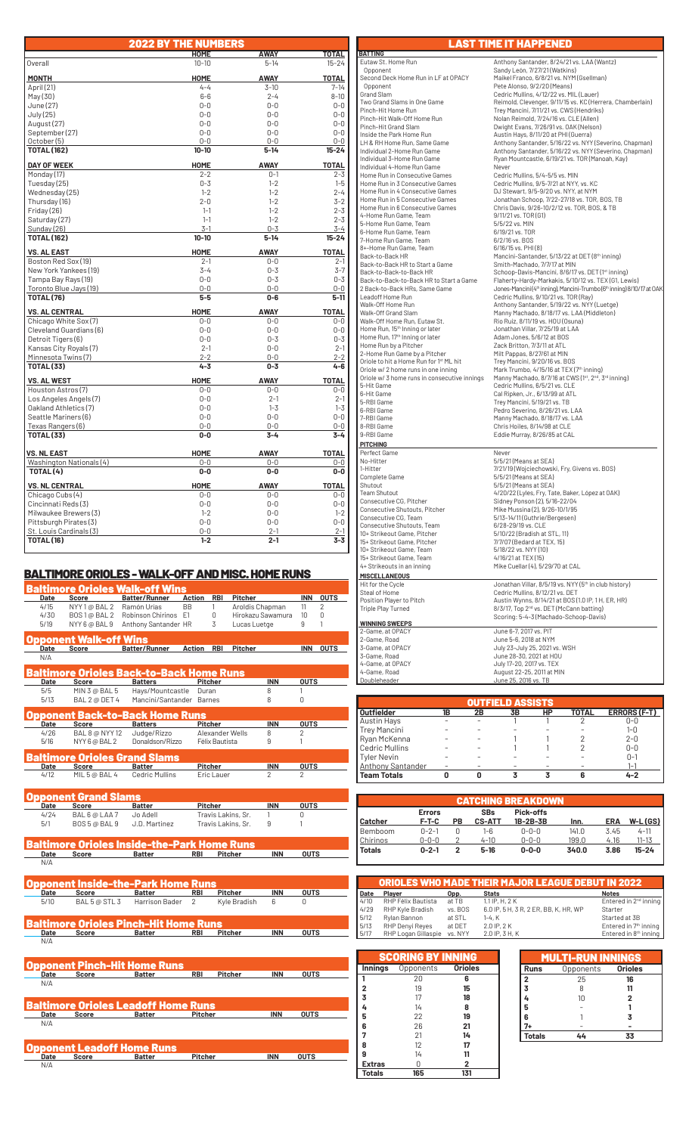|                                         | <b>2022 BY THE NUMBERS</b> |                    |                    |
|-----------------------------------------|----------------------------|--------------------|--------------------|
|                                         | <b>HOME</b>                | AWAY               | TOTAL              |
| Overall                                 | $10 - 10$                  | $5 - 14$           | $15 - 24$          |
| <b>MONTH</b>                            | <b>HOME</b>                | <b>AWAY</b>        | <b>TOTAL</b>       |
| April (21)                              | $4 - 4$                    | $3 - 10$           | $7 - 14$           |
| May(30)                                 | $6 - 6$                    | $2 - 4$            | $8 - 10$           |
| June (27)                               | $0-0$                      | $0 - 0$            | $0 - 0$            |
| July (25)                               | $0 - 0$                    | $0 - 0$            | $0 - 0$            |
| August (27)                             | $0 - 0$                    | $0 - 0$            | $0 - 0$            |
| September (27)                          | $0 - 0$                    | $0 - 0$            | $0 - 0$            |
| October (5)                             | $0 - 0$                    | $0 - 0$            | $0 - 0$            |
| <b>TOTAL (162)</b>                      | $10 - 10$                  | $5 - 14$           | $15 - 24$          |
| <b>DAY OF WEEK</b>                      | <b>HOME</b>                | <b>AWAY</b>        | <b>TOTAL</b>       |
| Monday (17)                             | $2 - 2$                    | $0 - 1$            | $2 - 3$            |
| Tuesday (25)                            | $0 - 3$                    | $1 - 2$            | $1 - 5$            |
| Wednesday (25)                          | $1 - 2$                    | $1 - 2$            | $2 - 4$            |
| Thursday (16)                           | $2 - 0$                    | $1 - 2$            | $3 - 2$            |
| Friday (26)                             | $1 - 1$                    | $1 - 2$            | $2 - 3$            |
| Saturday (27)                           | $1 - 1$                    | $1 - 2$            | $2 - 3$            |
| Sunday (26)                             | $3 - 1$                    | $0 - 3$            | $3 - 4$            |
| <b>TOTAL (162)</b>                      | $10 - 10$                  | $5 - 14$           | $15 - 24$          |
| <b>VS. AL EAST</b>                      | <b>HOME</b>                | <b>AWAY</b>        | <b>TOTAL</b>       |
| Boston Red Sox (19)                     | $2 - 1$                    | $0 - 0$            | $2 - 1$            |
| New York Yankees (19)                   | $3 - 4$                    | $0 - 3$            | $3 - 7$            |
| Tampa Bay Rays (19)                     | $0 - 0$                    | $0 - 3$            | $0 - 3$            |
| Toronto Blue Jays (19)                  | $0 - 0$<br>5-5             | $0 - 0$<br>$0 - 6$ | $0-0$<br>5-11      |
| <b>TOTAL (76)</b>                       |                            |                    |                    |
| <b>VS. AL CENTRAL</b>                   | <b>HOME</b>                | <b>AWAY</b>        | <b>TOTAL</b>       |
| Chicago White Sox (7)                   | $0 - 0$                    | $0 - 0$            | $0 - 0$            |
| Cleveland Guardians (6)                 | $0 - 0$                    | $0 - 0$            | $0 - 0$            |
| Detroit Tigers (6)                      | $0 - 0$                    | $0 - 3$            | $0 - 3$            |
| Kansas City Royals (7)                  | $2 - 1$                    | $0 - 0$            | $2 - 1$            |
| Minnesota Twins(7)<br><b>TOTAL (33)</b> | $2 - 2$<br>$4 - 3$         | $0 - 0$<br>$0 - 3$ | $2 - 2$<br>$4 - 6$ |
| <b>VS. AL WEST</b>                      | HOME                       | <b>AWAY</b>        | <b>TOTAL</b>       |
| Houston Astros (7)                      | $0-0$                      | 0-0                | $0 - 0$            |
| Los Angeles Angels (7)                  | $0 - 0$                    | $2 - 1$            | $2 - 1$            |
| Oakland Athletics (7)                   | $0-0$                      | $1 - 3$            | $1 - 3$            |
| Seattle Mariners (6)                    | $0 - 0$                    | $0 - 0$            | $0 - 0$            |
| Texas Rangers (6)                       | $0 - 0$                    | $0 - 0$            | $0-0$              |
| <b>TOTAL (33)</b>                       | $0-0$                      | $3 - 4$            | $3 - 4$            |
| <b>VS. NL EAST</b>                      | <b>HOME</b>                | <b>AWAY</b>        | <b>TOTAL</b>       |
| Washington Nationals (4)                | $0-0$                      | $0-0$              | $0-0$              |
| TOTAL (4)                               | $0-0$                      | $0-0$              | $0-0$              |
| <b>VS. NL CENTRAL</b>                   | <b>HOME</b>                | <b>AWAY</b>        | <b>TOTAL</b>       |
| Chicago Cubs (4)                        | $0 - 0$                    | $0 - 0$            | $0 - 0$            |
| Cincinnati Reds(3)                      | $0 - 0$                    | $0 - 0$            | $0 - 0$            |
| Milwaukee Brewers (3)                   | $1 - 2$                    | $0 - 0$            | $1 - 2$            |
| Pittsburgh Pirates (3)                  | $0 - 0$                    | $0 - 0$            | $0 - 0$            |
| St. Louis Cardinals (3)                 | $0 - 0$                    | $2 - 1$            | $2 - 1$            |
| <b>TOTAL (16)</b>                       | $1 - 2$                    | $2 - 1$            | $3 - 3$            |

## BALTIMORE ORIOLES - WALK-OFF AND MISC. HOME RUNS

|      |                                   | Baltimore Orioles Walk-off Wins                             |                |                |                    |                   |                |             |
|------|-----------------------------------|-------------------------------------------------------------|----------------|----------------|--------------------|-------------------|----------------|-------------|
| Date | Score                             | <b>Batter/Runner</b>                                        | <b>Action</b>  | <b>RBI</b>     | <b>Pitcher</b>     |                   | <b>INN</b>     | <b>OUTS</b> |
| 4/15 | NYY 1@ BAL 2                      | Ramón Urías                                                 | <b>BB</b>      | 1              | Aroldis Chapman    |                   | 11             | 2           |
| 4/30 | BOS 1@ BAL 2                      | Robinson Chirinos E1                                        |                | 0              |                    | Hirokazu Sawamura | 10             | 0           |
| 5/19 | NYY 6 @ BAL 9                     | Anthony Santander HR                                        |                | 3              | Lucas Luetge       |                   | 9              | 1           |
|      | pponent Walk-off Wins             |                                                             |                |                |                    |                   |                |             |
| Date | <b>Score</b>                      | Batter/Runner                                               | <b>Action</b>  | <b>RBI</b>     | <b>Pitcher</b>     |                   |                | INN OUTS    |
| N/A  |                                   |                                                             |                |                |                    |                   |                |             |
|      |                                   | Baltimore Orioles Back-to-Back Home Runs                    |                |                |                    |                   |                |             |
| Date | Score                             | <b>Batters</b>                                              |                | <b>Pitcher</b> |                    | <b>INN</b>        | <b>OUTS</b>    |             |
| 5/5  | MIN 3 @ BAL 5                     | Hays/Mountcastle                                            |                | Duran          |                    | 8                 | 1              |             |
| 5/13 | BAL 2 @ DET 4                     | Mancini/Santander Barnes                                    |                |                |                    | 8                 | 0              |             |
|      |                                   | pponent Back-to-Back Home Runs                              |                |                |                    |                   |                |             |
| Date | Score                             | <b>Batters</b>                                              |                | <b>Pitcher</b> |                    | <b>INN</b>        | <b>OUTS</b>    |             |
| 4/26 | <b>BAL 8 @ NYY 12</b>             | Judge/Rizzo                                                 |                |                | Alexander Wells    | 8                 | 2              |             |
| 5/16 | NYY 6 @ BAL 2                     | Donaldson/Rizzo                                             |                | Félix Bautista |                    | 9                 | 1              |             |
|      |                                   | Baltimore Orioles Grand Slams                               |                |                |                    |                   |                |             |
| Date | Score                             | <b>Batter</b>                                               |                | <b>Pitcher</b> |                    | <b>INN</b>        | <b>OUTS</b>    |             |
| 4/12 | MIL 5 @ BAL 4                     | <b>Cedric Mullins</b>                                       |                | Eric Lauer     |                    | 2                 | $\overline{2}$ |             |
|      |                                   |                                                             |                |                |                    |                   |                |             |
|      | Opponent Grand Slams              |                                                             |                |                |                    |                   |                |             |
| Date | Score                             | <b>Batter</b>                                               |                | Pitcher        |                    | <b>INN</b>        | <b>OUTS</b>    |             |
| 4/24 | BAL 6 @ LAA 7                     | Jo Adell                                                    |                |                | Travis Lakins, Sr. | 1                 | 0              |             |
| 5/1  | BOS 5 @ BAL 9                     | J.D. Martinez                                               |                |                | Travis Lakins, Sr. | 9                 | 1              |             |
|      |                                   |                                                             |                |                |                    |                   |                |             |
|      |                                   | Baltimore Orioles Inside-the-Park Home Runs                 |                |                |                    |                   |                |             |
| Date | Score                             | Batter                                                      | RBI            |                | Pitcher            | <b>INN</b>        | <b>OUTS</b>    |             |
| N/A  |                                   |                                                             |                |                |                    |                   |                |             |
|      |                                   | Opponent Inside-the-Park Home Runs                          |                |                |                    |                   |                |             |
| Date | Score                             | Batter                                                      | RBI            |                | <b>Pitcher</b>     | <b>INN</b>        | <b>OUTS</b>    |             |
| 5/10 | BAL 5 @ STL 3                     | Harrison Bader                                              | 2              |                | Kyle Bradish       | 6                 | U              |             |
|      |                                   |                                                             |                |                |                    |                   |                |             |
|      |                                   | Ialtimore Orioles Pinch-Hit Home Runs                       |                |                |                    |                   |                |             |
| Date | <b>Score</b>                      | Batter                                                      | RBI            |                | Pitcher            | <b>INN</b>        | <b>OUTS</b>    |             |
| N/A  |                                   |                                                             |                |                |                    |                   |                |             |
|      |                                   |                                                             |                |                |                    |                   |                |             |
|      |                                   | <b>Opponent Pinch-Hit Home Runs</b>                         |                |                |                    |                   |                |             |
| Date | Score                             | <b>Batter</b>                                               | <b>RBI</b>     |                | Pitcher            | <b>INN</b>        | <b>OUTS</b>    |             |
| N/A  |                                   |                                                             |                |                |                    |                   |                |             |
|      |                                   |                                                             |                |                |                    |                   |                |             |
| Date | <b>Score</b>                      | <b>Baltimore Orioles Leadoff Home Runs</b><br><b>Batter</b> | <b>Pitcher</b> |                |                    | <b>INN</b>        | <b>OUTS</b>    |             |
| N/A  |                                   |                                                             |                |                |                    |                   |                |             |
|      |                                   |                                                             |                |                |                    |                   |                |             |
|      |                                   |                                                             |                |                |                    |                   |                |             |
|      | <b>Opponent Leadoff Home Runs</b> |                                                             | Pitcher        |                |                    | <b>INN</b>        | <b>OUTS</b>    |             |
| Date | Score                             | <b>Batter</b>                                               |                |                |                    |                   |                |             |

**BATTING**<br>Eutaw St. Home Run Eutaw St. Home Run Anthony Santander, 8/24/21 vs. LAA (Wantz)<br>Coponent Anthony Sandy León, 7/27/21 (Watkins) Opponent Sandy León, 7/27/21 (Watkins) Second Deck Home Run in LF at OPACY<br>
Opponent Pete Alonso, 9/2/20 (Means)<br>
Copponent Pete Alonso, 9/2/20 (Means)<br>
Two Grand Slams in One Game Reimold, Clevenger, 9/11/15 vs. KC (Herrera, Chamberlain)<br>
Trey Mancini, 7/11/21 Pinch-Hit Walk-Off Home Run Nolan Reimold, 7/24/16 vs. CLE (Allen) Pinch-Hit Grand Slam Dwight Evans, 7/26/91 vs. OAK (Nelson) Inside the Park Home Run Austin Hays, 8/11/20 at PHI (Guerra) LH & RH Home Run, Same Game Anthony Santander, 5/16/22 vs. NYY (Severino, Chapman) Individual 2-Home Run Game Anthony Santander, 5/16/22 vs. NYY (Severino, Chapman) Individual 3-Home Run Game Ryan Mountcastle, 6/19/21 vs. TOR (Manoah, Kay) Pinch-Hit Grand Siam<br>
Inside the Park Home Run<br>
LH & RH Home Run, Same Game<br>
LH & RH Home Run, Same Game<br>
LH & RH Home Run, Same Game<br>
Anthony Santander, 5/16/22 vs<br>
Individual 3-Home Run Game<br>
Home Run in Consecutive Game Home Run in Consecutive Games Cedric Mullins, 5/4-5/5 vs. MIN Home Run in 3 Consecutive Games Cedric Mullins, 9/5-7/21 at NYY, vs. KC Home Run in 4 Consecutive Games DJ Stewart, 9/5-9/20 vs. NYY, at NYM Home Run in 5 Consecutive Games Jonathan Schoop, 7/22-27/18 vs. TOR, BOS, TB Home Run in 6 Consecutive Games Chris Davis, 9/26-10/2/12 vs. TOR, BOS, & TB 4-Home Run Game, Team 9/11/21 vs. TOR (G1) 5-Home Run Game, Team 5/5/22 vs. MIN 6-Home Run Game, Team 6/19/21 vs. TOR 7-Home Run Game, Team<br>8+-Home Run Game, Team 8+-Home Run Game, Team 6/16/15 vs. PHI (8) Back-to-Back HR Mancini-Santander, 5/13/22 at DET (8<sup>th</sup> inning) Back-to-Back HR to Start a Game Smith-Machado, 7/7/17 at MIN Back-to-Back-to-Back HR Schoop-Davis-Mancini, 8/6/17 vs. DET (1<sup>st</sup> inning) Leadoff Home Run<br>
Walk-Off Home Run<br>
Walk-Off Grand Slam<br>
Walk-Off Grand Slam<br>
Walk-Off Home Run, Eutaw St.<br>
Walk-Off Home Run, Eutaw St.<br>
Walk-Off Home Run, Eutaw St.<br>
Walk-Off Home Run, Eutaw St.<br>
Walk-Off Home Run, Euta Walk-Off Grand Slam<br>Walk-Off Home Run, Eutaw St.<br>Home Run, 15<sup>th</sup> Inning or later<br>Home Run, 17<sup>th</sup> Inning or later<br>Home Run by a Pitcher Home Run, 17<sup>th</sup> Inning or later and the Madam Jones, 5/6/12 at BOS<br>Home Run by a Pitcher Zack Britton, 7/3/11 at ATL<br>2-Home Run Game by a Pitcher Mill Pappas, 8/27/61 at MIN 2-Home Run Game by a Pitcher Milt Pappas, 8/27/61 at MIN Oriole to hit a Home Run for 1<sup>st</sup> ML hit Trey Mancini, 9/20/16 vs. BOS<br>Oriole w/ 2 home runs in one inning Mark Trumbo, 4/15/16 at TEX (7<sup>th</sup> inning) Oriole w/ 3 home runs in consecutive innings Manny Machado, 8/7/16 at CWS ( $1^{\text{st}}$ ,  $2^{\text{nd}}$ ,  $3^{\text{rd}}$  inning) 5-Hit Game Cedric Mullins, 6/5/21 vs. CLE 6-Hit Game Cal Ripken, Jr., 6/13/99 at ATL 5-RBI Game Trey Mancini, 5/19/21 vs. TB 6-RBI Game Pedro Severino, 8/26/21 vs. LAA 7-RBI Game Manny Machado, 8/18/17 vs. LAA 8-RBI Game Chris Hoiles, 8/14/98 at CLE 9-RBI Game Eddie Murray, 8/26/85 at CAL  **PITCHING** Perfect Game<br>
No-Hitter<br>
1-Hitter<br>
Complete Game No-Hitter 5/5/21 (Means at SEA) 1-Hitter 7/21/19 (Wojciechowski, Fry, Givens vs. BOS) Complete Game 5/5/21 (Means at SEA) Shutout 5/5/21 (Means at SEA)<br>Team Shutout 6/2012/11 views Fry. Tai Consecutive Shutouts, Pitcher Mike Mussina (2), 9/26-10/1/95<br>Consecutive CG, Team 5/13-14/11 (Guthrie/Bergesen)<br>Consecutive Shutouts, Team 6/28-29/19 vs. CLE 10+ Strikeout Game, Pitcher 5/10/22 (Bradish at STL, 11) 15+ Strikeout Game, Pitcher 7/7/07 (Bedard at TEX, 15) 10+ Strikeout Game, Team 5/18/22 vs. NYY (10) 15+ Strikeout Game, Team 4/16/21 at TEX (15) 15+ Strikeout Garrie, Team<br>4+ Strikeouts in an inning Mike Cuellar (4), 5/29/70 at CAL  **MISCELLANEOUS WINNING SWEEPS**

# Back-to-Back-to-Back HR to Start a Game Flaherty-Hardy-Markakis, 5/10/12 vs. TEX (G1, Lewis) 2 Back-to-Back HRs, Same Game Jones-Mancini (4th inning), Mancini-Trumbo (6th inning) 8/10/17 at OAK

LAST TIME IT HAPPENED

 Team Shutout 4/20/22 (Lyles, Fry, Tate, Baker, López at OAK) Consecutive CG, Pitcher Sidney Ponson (2), 5/16-22/04 Hit for the Cycle<br>
Steal of Home<br>
Steal of Home<br>
Position Player to Pitch<br>
Position Player to Pitch<br>
Austin Wynns, 8/14/21 at BOS (1.0 IP, 1 H, ER, HR)<br>
Triple Play Turned<br>
Scoring: 5-4-3 (Machado-Schoop-Davis)<br>
Scoring: 5 2-Game, at OPACY June 6-7, 2017 vs. PIT 2-Game, Road June 5-6, 2018 at NYM 3-Game, at OPACY July 23-July 25, 2021 vs. WSH 3-Game, Road June 28-30, 2021 at HOU 4-Game, at OPACY July 17-20, 2017 vs. TEX 4-Game, Road August 22-25, 2011 at MIN Doubleheader June 25, 2016 vs. TB

|                          |    |    | <b>OUTFIELD ASSISTS</b> |    |       |                     |
|--------------------------|----|----|-------------------------|----|-------|---------------------|
| <b>Outfielder</b>        | 1B | 2Β | 3B                      | НP | TOTAL | <b>ERRORS (F-T)</b> |
| Austin Hays              |    |    |                         |    |       | $0 - 0$             |
| <b>Trey Mancini</b>      |    |    |                         |    |       | $1 - 0$             |
| Ryan McKenna             |    |    |                         |    |       | $2 - 0$             |
| <b>Cedric Mullins</b>    |    |    |                         |    |       | $0 - 0$             |
| <b>Tyler Nevin</b>       |    |    |                         |    |       | $0 - 1$             |
| <b>Anthony Santander</b> |    |    |                         |    |       | 1–1                 |
| <b>Team Totals</b>       |    |    |                         |    |       | $4 - 2$             |

|               |               |           |               | <b>CATCHING BREAKDOWN</b> |       |            |           |
|---------------|---------------|-----------|---------------|---------------------------|-------|------------|-----------|
|               | <b>Errors</b> |           | <b>SBs</b>    | Pick-offs                 |       |            |           |
| Catcher       | F-T-C         | <b>PB</b> | <b>CS-ATT</b> | 1B-2B-3B                  | Inn.  | <b>ERA</b> | $W-L(GS)$ |
| Bemboom       | $n - 2 - 1$   | 0         | 1-6           | $0 - 0 - 0$               | 141.0 | 3.45       | $4 - 11$  |
| Chirinos      | $0 - 0 - 0$   |           | $4 - 10$      | $0 - 0 - 0$               | 199.0 | 4.16       | $11 - 13$ |
| <b>Totals</b> | $0 - 2 - 1$   | 2         | $5-16$        | $0 - 0 - 0$               | 340.0 | 3.86       | $15 - 24$ |

|      |                     |         | <b>ORIOLES WHO MADE THEIR MAJOR LEAGUE DEBUT IN 2022</b> |                                   |
|------|---------------------|---------|----------------------------------------------------------|-----------------------------------|
| Date | <b>Plaver</b>       | Opp.    | <b>Stats</b>                                             | <b>Notes</b>                      |
| 4/10 | RHP Félix Bautista  | at TB   | $1.1$ IP, H, $2K$                                        | Entered in 2 <sup>nd</sup> inning |
| 4/29 | RHP Kyle Bradish    | vs. BOS | 6.0 IP, 5 H, 3 R, 2 ER, BB, K, HR, WP                    | Starter                           |
| 5/12 | Rylan Bannon        | at STL  | $1-4. K$                                                 | Started at 3B                     |
| 5/13 | RHP Denyi Reyes     | at DFT  | 2.0 IP, 2 K                                              | Entered in $7th$ inning           |
| 5/17 | RHP Logan Gillaspie | vs. NYY | 2.0 IP, 3 H, K                                           | Entered in 8 <sup>th</sup> inning |

|                | <b>SCORING BY INNING</b> |                |
|----------------|--------------------------|----------------|
| <b>Innings</b> | Opponents                | <b>Orioles</b> |
| 1              | 20                       | 6              |
| $\overline{2}$ | 19                       | 15             |
| 3              | 17                       | 18             |
| 4              | 14                       | 8              |
| 5              | 22                       | 19             |
| 6              | 26                       | 21             |
| 7              | 21                       | 14             |
| 8              | 12                       | 17             |
| 9              | 14                       | 11             |
| <b>Extras</b>  | N                        | $\overline{2}$ |
| <b>Totals</b>  | 165                      | 131            |
|                |                          |                |

|               | <b>MULTI-RUN INNINGS</b> |                |
|---------------|--------------------------|----------------|
| <b>Runs</b>   | Opponents Orioles        |                |
| 2             | 25                       | 16             |
| 3             |                          | 11             |
|               | 10                       | $\overline{2}$ |
| 5             |                          |                |
| 6             |                          | 3              |
| 7+            |                          |                |
| <b>Totals</b> |                          | 33             |

N/A